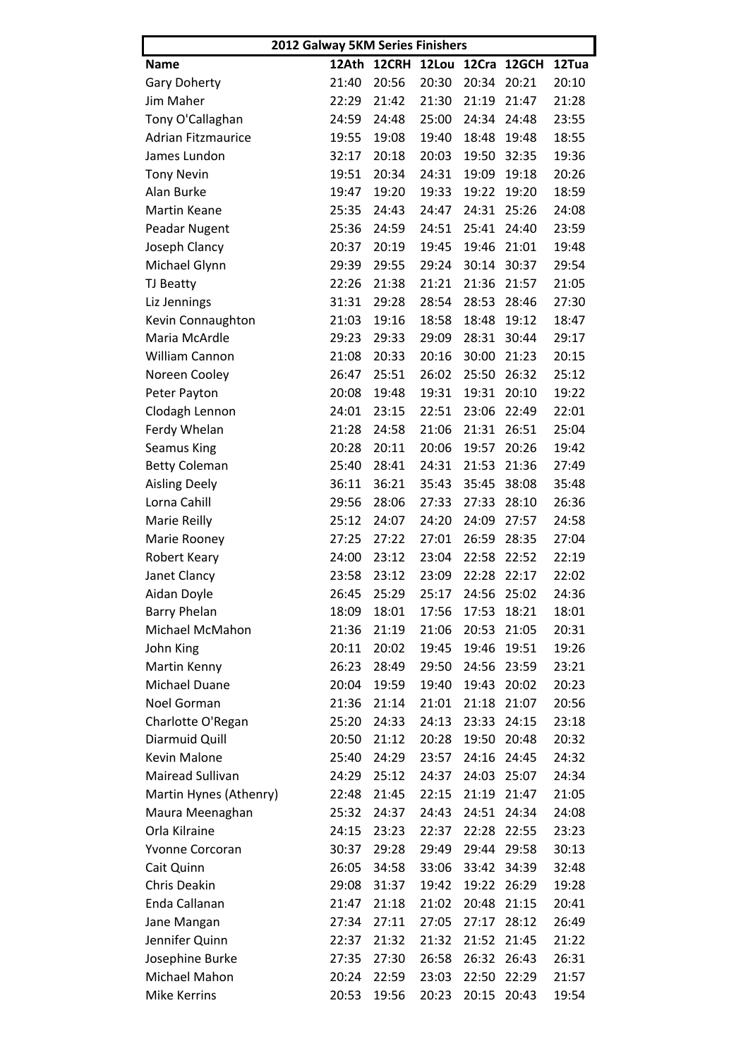| 2012 Galway 5KM Series Finishers |       |             |       |             |             |       |  |  |
|----------------------------------|-------|-------------|-------|-------------|-------------|-------|--|--|
| <b>Name</b>                      |       | 12Ath 12CRH | 12Lou |             | 12Cra 12GCH | 12Tua |  |  |
| <b>Gary Doherty</b>              | 21:40 | 20:56       | 20:30 | 20:34       | 20:21       | 20:10 |  |  |
| Jim Maher                        | 22:29 | 21:42       | 21:30 | 21:19       | 21:47       | 21:28 |  |  |
| Tony O'Callaghan                 | 24:59 | 24:48       | 25:00 | 24:34       | 24:48       | 23:55 |  |  |
| <b>Adrian Fitzmaurice</b>        | 19:55 | 19:08       | 19:40 | 18:48       | 19:48       | 18:55 |  |  |
| James Lundon                     | 32:17 | 20:18       | 20:03 | 19:50       | 32:35       | 19:36 |  |  |
| <b>Tony Nevin</b>                | 19:51 | 20:34       | 24:31 | 19:09       | 19:18       | 20:26 |  |  |
| Alan Burke                       | 19:47 | 19:20       | 19:33 | 19:22       | 19:20       | 18:59 |  |  |
| <b>Martin Keane</b>              | 25:35 | 24:43       | 24:47 | 24:31       | 25:26       | 24:08 |  |  |
| Peadar Nugent                    | 25:36 | 24:59       | 24:51 | 25:41       | 24:40       | 23:59 |  |  |
| Joseph Clancy                    | 20:37 | 20:19       | 19:45 | 19:46       | 21:01       | 19:48 |  |  |
| Michael Glynn                    | 29:39 | 29:55       | 29:24 | 30:14       | 30:37       | 29:54 |  |  |
| TJ Beatty                        | 22:26 | 21:38       | 21:21 | 21:36       | 21:57       | 21:05 |  |  |
| Liz Jennings                     | 31:31 | 29:28       | 28:54 | 28:53       | 28:46       | 27:30 |  |  |
| Kevin Connaughton                | 21:03 | 19:16       | 18:58 | 18:48       | 19:12       | 18:47 |  |  |
| Maria McArdle                    | 29:23 | 29:33       | 29:09 | 28:31       | 30:44       | 29:17 |  |  |
| William Cannon                   | 21:08 | 20:33       | 20:16 | 30:00       | 21:23       | 20:15 |  |  |
| Noreen Cooley                    | 26:47 | 25:51       | 26:02 | 25:50       | 26:32       | 25:12 |  |  |
| Peter Payton                     | 20:08 | 19:48       | 19:31 | 19:31       | 20:10       | 19:22 |  |  |
| Clodagh Lennon                   | 24:01 | 23:15       | 22:51 | 23:06       | 22:49       | 22:01 |  |  |
| Ferdy Whelan                     | 21:28 | 24:58       | 21:06 | 21:31       | 26:51       | 25:04 |  |  |
| <b>Seamus King</b>               | 20:28 | 20:11       | 20:06 | 19:57       | 20:26       | 19:42 |  |  |
| <b>Betty Coleman</b>             | 25:40 | 28:41       | 24:31 | 21:53       | 21:36       | 27:49 |  |  |
|                                  | 36:11 | 36:21       | 35:43 | 35:45       | 38:08       | 35:48 |  |  |
| <b>Aisling Deely</b>             |       |             |       |             |             |       |  |  |
| Lorna Cahill                     | 29:56 | 28:06       | 27:33 | 27:33       | 28:10       | 26:36 |  |  |
| Marie Reilly                     | 25:12 | 24:07       | 24:20 | 24:09       | 27:57       | 24:58 |  |  |
| Marie Rooney                     | 27:25 | 27:22       | 27:01 | 26:59       | 28:35       | 27:04 |  |  |
| <b>Robert Keary</b>              | 24:00 | 23:12       | 23:04 | 22:58       | 22:52       | 22:19 |  |  |
| Janet Clancy                     | 23:58 | 23:12       | 23:09 | 22:28       | 22:17       | 22:02 |  |  |
| Aidan Doyle                      | 26:45 | 25:29       | 25:17 | 24:56 25:02 |             | 24:36 |  |  |
| <b>Barry Phelan</b>              | 18:09 | 18:01       | 17:56 | 17:53 18:21 |             | 18:01 |  |  |
| Michael McMahon                  | 21:36 | 21:19       | 21:06 | 20:53       | 21:05       | 20:31 |  |  |
| John King                        | 20:11 | 20:02       | 19:45 | 19:46       | 19:51       | 19:26 |  |  |
| Martin Kenny                     | 26:23 | 28:49       | 29:50 | 24:56       | 23:59       | 23:21 |  |  |
| Michael Duane                    | 20:04 | 19:59       | 19:40 | 19:43       | 20:02       | 20:23 |  |  |
| Noel Gorman                      | 21:36 | 21:14       | 21:01 | 21:18       | 21:07       | 20:56 |  |  |
| Charlotte O'Regan                | 25:20 | 24:33       | 24:13 | 23:33       | 24:15       | 23:18 |  |  |
| Diarmuid Quill                   | 20:50 | 21:12       | 20:28 | 19:50       | 20:48       | 20:32 |  |  |
| Kevin Malone                     | 25:40 | 24:29       | 23:57 | 24:16       | 24:45       | 24:32 |  |  |
| Mairead Sullivan                 | 24:29 | 25:12       | 24:37 | 24:03       | 25:07       | 24:34 |  |  |
| Martin Hynes (Athenry)           | 22:48 | 21:45       | 22:15 | 21:19       | 21:47       | 21:05 |  |  |
| Maura Meenaghan                  | 25:32 | 24:37       | 24:43 | 24:51       | 24:34       | 24:08 |  |  |
| Orla Kilraine                    | 24:15 | 23:23       | 22:37 | 22:28       | 22:55       | 23:23 |  |  |
| Yvonne Corcoran                  | 30:37 | 29:28       | 29:49 | 29:44       | 29:58       | 30:13 |  |  |
| Cait Quinn                       | 26:05 | 34:58       | 33:06 | 33:42       | 34:39       | 32:48 |  |  |
| Chris Deakin                     | 29:08 | 31:37       | 19:42 | 19:22       | 26:29       | 19:28 |  |  |
| Enda Callanan                    | 21:47 | 21:18       | 21:02 | 20:48       | 21:15       | 20:41 |  |  |
| Jane Mangan                      | 27:34 | 27:11       | 27:05 | 27:17       | 28:12       | 26:49 |  |  |
| Jennifer Quinn                   | 22:37 | 21:32       | 21:32 | 21:52       | 21:45       | 21:22 |  |  |
| Josephine Burke                  | 27:35 | 27:30       | 26:58 | 26:32       | 26:43       | 26:31 |  |  |
| Michael Mahon                    | 20:24 | 22:59       | 23:03 | 22:50       | 22:29       | 21:57 |  |  |
| Mike Kerrins                     | 20:53 | 19:56       | 20:23 | 20:15       | 20:43       | 19:54 |  |  |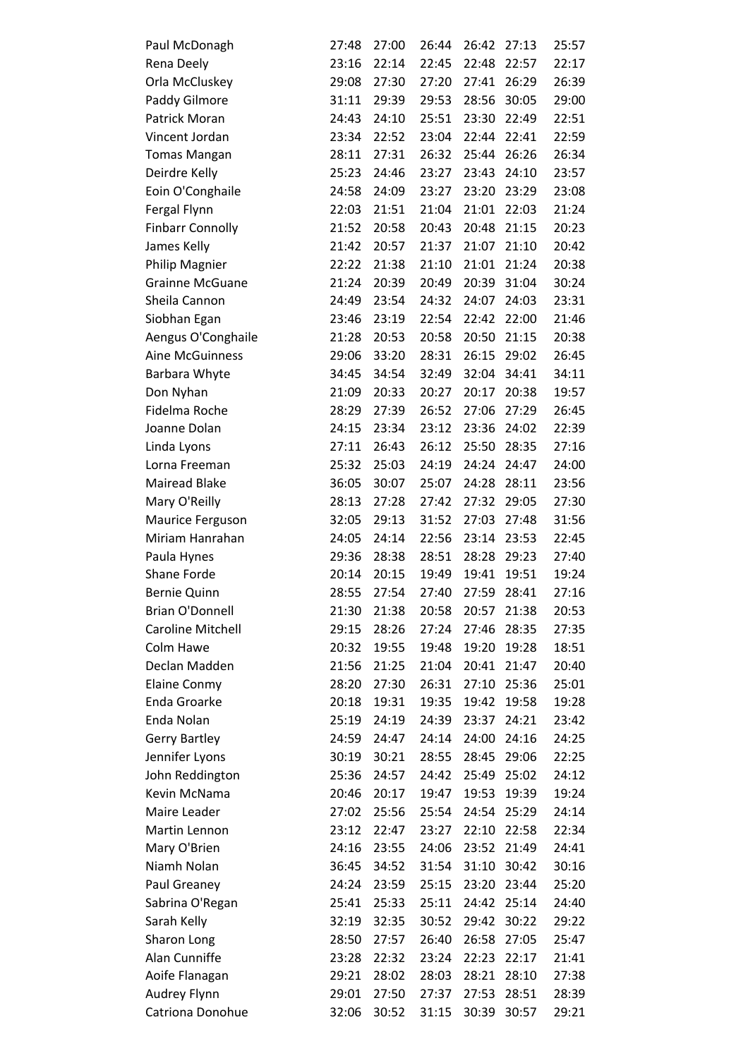| Paul McDonagh            | 27:48 | 27:00 | 26:44 | 26:42 | 27:13 | 25:57 |
|--------------------------|-------|-------|-------|-------|-------|-------|
| Rena Deely               | 23:16 | 22:14 | 22:45 | 22:48 | 22:57 | 22:17 |
| Orla McCluskey           | 29:08 | 27:30 | 27:20 | 27:41 | 26:29 | 26:39 |
| Paddy Gilmore            | 31:11 | 29:39 | 29:53 | 28:56 | 30:05 | 29:00 |
| Patrick Moran            | 24:43 | 24:10 | 25:51 | 23:30 | 22:49 | 22:51 |
| Vincent Jordan           | 23:34 | 22:52 | 23:04 | 22:44 | 22:41 | 22:59 |
| <b>Tomas Mangan</b>      | 28:11 | 27:31 | 26:32 | 25:44 | 26:26 | 26:34 |
| Deirdre Kelly            | 25:23 | 24:46 | 23:27 | 23:43 | 24:10 | 23:57 |
| Eoin O'Conghaile         | 24:58 | 24:09 | 23:27 | 23:20 | 23:29 | 23:08 |
| Fergal Flynn             | 22:03 | 21:51 | 21:04 | 21:01 | 22:03 | 21:24 |
| <b>Finbarr Connolly</b>  | 21:52 | 20:58 | 20:43 | 20:48 | 21:15 | 20:23 |
| James Kelly              | 21:42 | 20:57 | 21:37 | 21:07 | 21:10 | 20:42 |
| Philip Magnier           | 22:22 | 21:38 | 21:10 | 21:01 | 21:24 | 20:38 |
| <b>Grainne McGuane</b>   | 21:24 | 20:39 | 20:49 | 20:39 | 31:04 | 30:24 |
| Sheila Cannon            | 24:49 | 23:54 | 24:32 | 24:07 | 24:03 | 23:31 |
| Siobhan Egan             | 23:46 | 23:19 | 22:54 | 22:42 | 22:00 | 21:46 |
| Aengus O'Conghaile       | 21:28 | 20:53 | 20:58 | 20:50 | 21:15 | 20:38 |
| <b>Aine McGuinness</b>   | 29:06 | 33:20 | 28:31 | 26:15 | 29:02 | 26:45 |
| <b>Barbara Whyte</b>     | 34:45 | 34:54 | 32:49 | 32:04 | 34:41 | 34:11 |
| Don Nyhan                | 21:09 | 20:33 | 20:27 | 20:17 | 20:38 | 19:57 |
| Fidelma Roche            | 28:29 | 27:39 | 26:52 | 27:06 | 27:29 | 26:45 |
| Joanne Dolan             | 24:15 | 23:34 | 23:12 | 23:36 | 24:02 | 22:39 |
| Linda Lyons              | 27:11 | 26:43 | 26:12 | 25:50 | 28:35 | 27:16 |
| Lorna Freeman            | 25:32 | 25:03 | 24:19 | 24:24 | 24:47 | 24:00 |
| <b>Mairead Blake</b>     | 36:05 | 30:07 | 25:07 | 24:28 | 28:11 | 23:56 |
| Mary O'Reilly            | 28:13 | 27:28 | 27:42 | 27:32 | 29:05 | 27:30 |
| Maurice Ferguson         | 32:05 | 29:13 | 31:52 | 27:03 | 27:48 | 31:56 |
| Miriam Hanrahan          | 24:05 | 24:14 | 22:56 | 23:14 | 23:53 | 22:45 |
| Paula Hynes              | 29:36 | 28:38 | 28:51 | 28:28 | 29:23 | 27:40 |
| <b>Shane Forde</b>       | 20:14 | 20:15 | 19:49 | 19:41 | 19:51 | 19:24 |
| <b>Bernie Quinn</b>      | 28:55 | 27:54 | 27:40 | 27:59 | 28:41 | 27:16 |
| <b>Brian O'Donnell</b>   | 21:30 | 21:38 | 20:58 | 20:57 | 21:38 | 20:53 |
| <b>Caroline Mitchell</b> | 29:15 | 28:26 | 27:24 | 27:46 | 28:35 | 27:35 |
| Colm Hawe                | 20:32 | 19:55 | 19:48 | 19:20 | 19:28 | 18:51 |
| Declan Madden            | 21:56 | 21:25 | 21:04 | 20:41 | 21:47 | 20:40 |
| <b>Elaine Conmy</b>      | 28:20 | 27:30 | 26:31 | 27:10 | 25:36 | 25:01 |
| <b>Enda Groarke</b>      | 20:18 | 19:31 | 19:35 | 19:42 | 19:58 | 19:28 |
| Enda Nolan               | 25:19 | 24:19 | 24:39 | 23:37 | 24:21 | 23:42 |
| <b>Gerry Bartley</b>     | 24:59 | 24:47 | 24:14 | 24:00 | 24:16 | 24:25 |
| Jennifer Lyons           | 30:19 | 30:21 | 28:55 | 28:45 | 29:06 | 22:25 |
| John Reddington          | 25:36 | 24:57 | 24:42 | 25:49 | 25:02 | 24:12 |
| Kevin McNama             | 20:46 | 20:17 | 19:47 | 19:53 | 19:39 | 19:24 |
| Maire Leader             | 27:02 | 25:56 | 25:54 | 24:54 | 25:29 | 24:14 |
| Martin Lennon            | 23:12 | 22:47 | 23:27 | 22:10 | 22:58 | 22:34 |
| Mary O'Brien             | 24:16 | 23:55 | 24:06 | 23:52 | 21:49 | 24:41 |
| Niamh Nolan              | 36:45 | 34:52 | 31:54 | 31:10 | 30:42 | 30:16 |
| Paul Greaney             | 24:24 | 23:59 | 25:15 | 23:20 | 23:44 | 25:20 |
| Sabrina O'Regan          | 25:41 | 25:33 | 25:11 | 24:42 | 25:14 | 24:40 |
| Sarah Kelly              | 32:19 | 32:35 | 30:52 | 29:42 | 30:22 | 29:22 |
| Sharon Long              | 28:50 | 27:57 | 26:40 | 26:58 | 27:05 | 25:47 |
| Alan Cunniffe            | 23:28 | 22:32 | 23:24 | 22:23 | 22:17 | 21:41 |
| Aoife Flanagan           | 29:21 | 28:02 | 28:03 | 28:21 | 28:10 | 27:38 |
| Audrey Flynn             | 29:01 | 27:50 | 27:37 | 27:53 | 28:51 | 28:39 |
| Catriona Donohue         | 32:06 | 30:52 | 31:15 | 30:39 | 30:57 | 29:21 |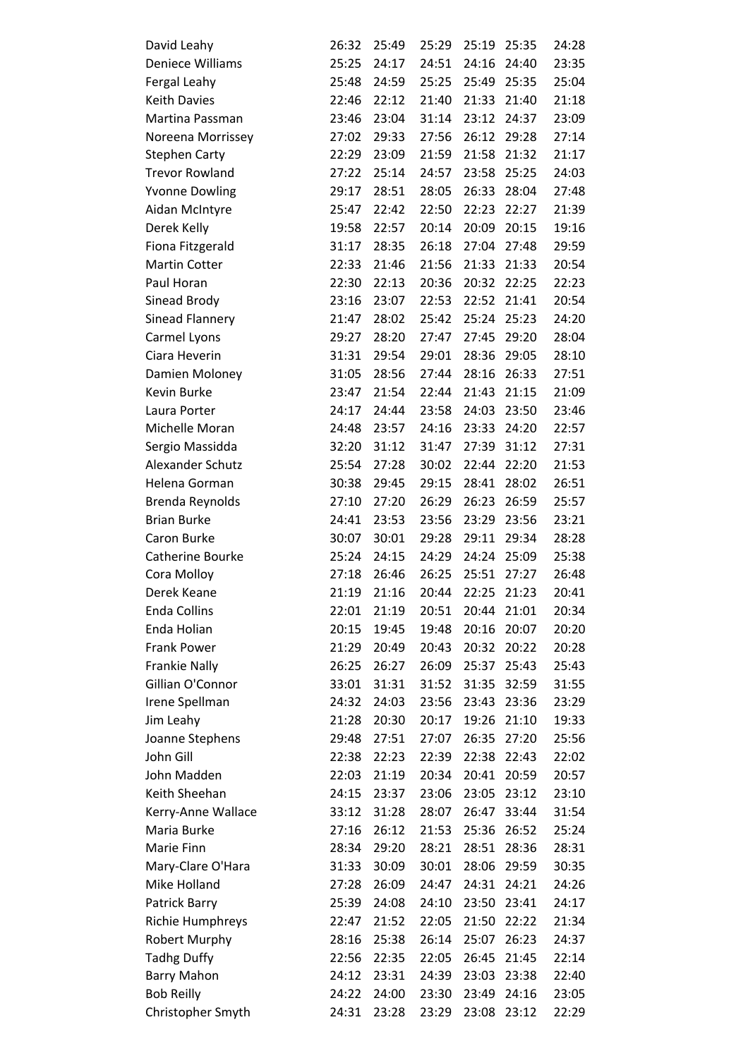| David Leahy             | 26:32 | 25:49 | 25:29 | 25:19 | 25:35       | 24:28 |
|-------------------------|-------|-------|-------|-------|-------------|-------|
| <b>Deniece Williams</b> | 25:25 | 24:17 | 24:51 | 24:16 | 24:40       | 23:35 |
| Fergal Leahy            | 25:48 | 24:59 | 25:25 |       | 25:49 25:35 | 25:04 |
| <b>Keith Davies</b>     | 22:46 | 22:12 | 21:40 | 21:33 | 21:40       | 21:18 |
| Martina Passman         | 23:46 | 23:04 | 31:14 | 23:12 | 24:37       | 23:09 |
| Noreena Morrissey       | 27:02 | 29:33 | 27:56 | 26:12 | 29:28       | 27:14 |
| <b>Stephen Carty</b>    | 22:29 | 23:09 | 21:59 | 21:58 | 21:32       | 21:17 |
| <b>Trevor Rowland</b>   | 27:22 | 25:14 | 24:57 | 23:58 | 25:25       | 24:03 |
| <b>Yvonne Dowling</b>   | 29:17 | 28:51 | 28:05 | 26:33 | 28:04       | 27:48 |
| Aidan McIntyre          | 25:47 | 22:42 | 22:50 | 22:23 | 22:27       | 21:39 |
| Derek Kelly             | 19:58 | 22:57 | 20:14 | 20:09 | 20:15       | 19:16 |
| Fiona Fitzgerald        | 31:17 | 28:35 | 26:18 | 27:04 | 27:48       | 29:59 |
| <b>Martin Cotter</b>    | 22:33 | 21:46 | 21:56 | 21:33 | 21:33       | 20:54 |
| Paul Horan              | 22:30 | 22:13 | 20:36 | 20:32 | 22:25       | 22:23 |
| Sinead Brody            | 23:16 | 23:07 | 22:53 | 22:52 | 21:41       | 20:54 |
| Sinead Flannery         | 21:47 | 28:02 | 25:42 | 25:24 | 25:23       | 24:20 |
| Carmel Lyons            | 29:27 | 28:20 | 27:47 | 27:45 | 29:20       | 28:04 |
| Ciara Heverin           | 31:31 | 29:54 | 29:01 | 28:36 | 29:05       | 28:10 |
| Damien Moloney          | 31:05 | 28:56 | 27:44 | 28:16 | 26:33       | 27:51 |
| <b>Kevin Burke</b>      | 23:47 | 21:54 | 22:44 | 21:43 | 21:15       | 21:09 |
| Laura Porter            | 24:17 | 24:44 | 23:58 | 24:03 | 23:50       | 23:46 |
| Michelle Moran          | 24:48 | 23:57 | 24:16 | 23:33 | 24:20       | 22:57 |
| Sergio Massidda         | 32:20 | 31:12 | 31:47 | 27:39 | 31:12       | 27:31 |
| Alexander Schutz        | 25:54 | 27:28 | 30:02 | 22:44 | 22:20       | 21:53 |
| Helena Gorman           | 30:38 | 29:45 | 29:15 | 28:41 | 28:02       | 26:51 |
| Brenda Reynolds         | 27:10 | 27:20 | 26:29 | 26:23 | 26:59       | 25:57 |
| <b>Brian Burke</b>      | 24:41 | 23:53 | 23:56 | 23:29 | 23:56       | 23:21 |
| Caron Burke             | 30:07 | 30:01 | 29:28 | 29:11 | 29:34       | 28:28 |
| Catherine Bourke        | 25:24 | 24:15 | 24:29 | 24:24 | 25:09       | 25:38 |
| Cora Molloy             | 27:18 | 26:46 | 26:25 | 25:51 | 27:27       | 26:48 |
| Derek Keane             | 21:19 | 21:16 | 20:44 | 22:25 | 21:23       | 20:41 |
| <b>Enda Collins</b>     | 22:01 | 21:19 | 20:51 | 20:44 | 21:01       | 20:34 |
| Enda Holian             | 20:15 | 19:45 | 19:48 | 20:16 | 20:07       | 20:20 |
| <b>Frank Power</b>      | 21:29 | 20:49 | 20:43 | 20:32 | 20:22       | 20:28 |
| <b>Frankie Nally</b>    | 26:25 | 26:27 | 26:09 | 25:37 | 25:43       | 25:43 |
| Gillian O'Connor        | 33:01 | 31:31 | 31:52 | 31:35 | 32:59       | 31:55 |
| Irene Spellman          | 24:32 | 24:03 | 23:56 | 23:43 | 23:36       | 23:29 |
| Jim Leahy               | 21:28 | 20:30 | 20:17 | 19:26 | 21:10       | 19:33 |
| Joanne Stephens         | 29:48 | 27:51 | 27:07 | 26:35 | 27:20       | 25:56 |
| John Gill               | 22:38 | 22:23 | 22:39 | 22:38 | 22:43       | 22:02 |
| John Madden             | 22:03 | 21:19 | 20:34 | 20:41 | 20:59       | 20:57 |
| Keith Sheehan           | 24:15 | 23:37 | 23:06 | 23:05 | 23:12       | 23:10 |
| Kerry-Anne Wallace      | 33:12 | 31:28 | 28:07 | 26:47 | 33:44       | 31:54 |
| Maria Burke             | 27:16 | 26:12 | 21:53 | 25:36 | 26:52       | 25:24 |
| Marie Finn              | 28:34 | 29:20 | 28:21 | 28:51 | 28:36       | 28:31 |
| Mary-Clare O'Hara       | 31:33 | 30:09 | 30:01 | 28:06 | 29:59       | 30:35 |
| Mike Holland            | 27:28 | 26:09 | 24:47 | 24:31 | 24:21       | 24:26 |
| Patrick Barry           | 25:39 | 24:08 | 24:10 | 23:50 | 23:41       | 24:17 |
| Richie Humphreys        | 22:47 | 21:52 | 22:05 | 21:50 | 22:22       | 21:34 |
| <b>Robert Murphy</b>    | 28:16 | 25:38 | 26:14 | 25:07 | 26:23       | 24:37 |
| <b>Tadhg Duffy</b>      | 22:56 | 22:35 | 22:05 | 26:45 | 21:45       | 22:14 |
| <b>Barry Mahon</b>      | 24:12 | 23:31 | 24:39 | 23:03 | 23:38       | 22:40 |
| <b>Bob Reilly</b>       | 24:22 | 24:00 | 23:30 | 23:49 | 24:16       | 23:05 |
| Christopher Smyth       | 24:31 | 23:28 | 23:29 | 23:08 | 23:12       | 22:29 |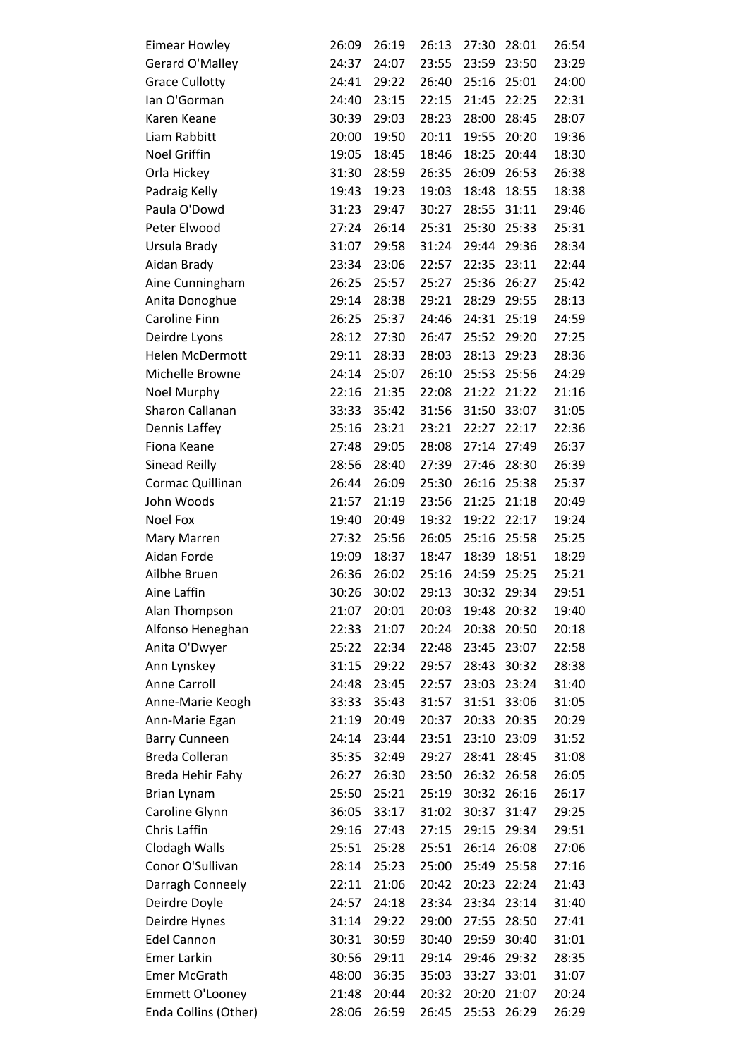| <b>Eimear Howley</b>   | 26:09 | 26:19 | 26:13 | 27:30 | 28:01 | 26:54 |
|------------------------|-------|-------|-------|-------|-------|-------|
| Gerard O'Malley        | 24:37 | 24:07 | 23:55 | 23:59 | 23:50 | 23:29 |
| <b>Grace Cullotty</b>  | 24:41 | 29:22 | 26:40 | 25:16 | 25:01 | 24:00 |
| lan O'Gorman           | 24:40 | 23:15 | 22:15 | 21:45 | 22:25 | 22:31 |
| Karen Keane            | 30:39 | 29:03 | 28:23 | 28:00 | 28:45 | 28:07 |
| Liam Rabbitt           | 20:00 | 19:50 | 20:11 | 19:55 | 20:20 | 19:36 |
| <b>Noel Griffin</b>    | 19:05 | 18:45 | 18:46 | 18:25 | 20:44 | 18:30 |
| Orla Hickey            | 31:30 | 28:59 | 26:35 | 26:09 | 26:53 | 26:38 |
| Padraig Kelly          | 19:43 | 19:23 | 19:03 | 18:48 | 18:55 | 18:38 |
| Paula O'Dowd           | 31:23 | 29:47 | 30:27 | 28:55 | 31:11 | 29:46 |
| Peter Elwood           | 27:24 | 26:14 | 25:31 | 25:30 | 25:33 | 25:31 |
| Ursula Brady           | 31:07 | 29:58 | 31:24 | 29:44 | 29:36 | 28:34 |
| Aidan Brady            | 23:34 | 23:06 | 22:57 | 22:35 | 23:11 | 22:44 |
| Aine Cunningham        | 26:25 | 25:57 | 25:27 | 25:36 | 26:27 | 25:42 |
| Anita Donoghue         | 29:14 | 28:38 | 29:21 | 28:29 | 29:55 | 28:13 |
| Caroline Finn          | 26:25 | 25:37 | 24:46 | 24:31 | 25:19 | 24:59 |
| Deirdre Lyons          | 28:12 | 27:30 | 26:47 | 25:52 | 29:20 | 27:25 |
| <b>Helen McDermott</b> | 29:11 | 28:33 | 28:03 | 28:13 | 29:23 | 28:36 |
| Michelle Browne        | 24:14 | 25:07 | 26:10 | 25:53 | 25:56 | 24:29 |
| Noel Murphy            | 22:16 | 21:35 | 22:08 | 21:22 | 21:22 | 21:16 |
| Sharon Callanan        | 33:33 | 35:42 | 31:56 | 31:50 | 33:07 | 31:05 |
| Dennis Laffey          | 25:16 | 23:21 | 23:21 | 22:27 | 22:17 | 22:36 |
| Fiona Keane            | 27:48 | 29:05 | 28:08 | 27:14 | 27:49 | 26:37 |
| Sinead Reilly          | 28:56 | 28:40 | 27:39 | 27:46 | 28:30 | 26:39 |
| Cormac Quillinan       | 26:44 | 26:09 | 25:30 | 26:16 | 25:38 | 25:37 |
| John Woods             | 21:57 | 21:19 | 23:56 | 21:25 | 21:18 | 20:49 |
| <b>Noel Fox</b>        | 19:40 | 20:49 | 19:32 | 19:22 | 22:17 | 19:24 |
| Mary Marren            | 27:32 | 25:56 | 26:05 | 25:16 | 25:58 | 25:25 |
| Aidan Forde            | 19:09 | 18:37 | 18:47 | 18:39 | 18:51 | 18:29 |
| Ailbhe Bruen           | 26:36 | 26:02 | 25:16 | 24:59 | 25:25 | 25:21 |
| Aine Laffin            | 30:26 | 30:02 | 29:13 | 30:32 | 29:34 | 29:51 |
| Alan Thompson          | 21:07 | 20:01 | 20:03 | 19:48 | 20:32 | 19:40 |
| Alfonso Heneghan       | 22:33 | 21:07 | 20:24 | 20:38 | 20:50 | 20:18 |
| Anita O'Dwyer          | 25:22 | 22:34 | 22:48 | 23:45 | 23:07 | 22:58 |
| Ann Lynskey            | 31:15 | 29:22 | 29:57 | 28:43 | 30:32 | 28:38 |
| <b>Anne Carroll</b>    | 24:48 | 23:45 | 22:57 | 23:03 | 23:24 | 31:40 |
| Anne-Marie Keogh       | 33:33 | 35:43 | 31:57 | 31:51 | 33:06 | 31:05 |
| Ann-Marie Egan         | 21:19 | 20:49 | 20:37 | 20:33 | 20:35 | 20:29 |
| <b>Barry Cunneen</b>   | 24:14 | 23:44 | 23:51 | 23:10 | 23:09 | 31:52 |
| Breda Colleran         | 35:35 | 32:49 | 29:27 | 28:41 | 28:45 | 31:08 |
| Breda Hehir Fahy       | 26:27 | 26:30 | 23:50 | 26:32 | 26:58 | 26:05 |
| <b>Brian Lynam</b>     | 25:50 | 25:21 | 25:19 | 30:32 | 26:16 | 26:17 |
| Caroline Glynn         | 36:05 | 33:17 | 31:02 | 30:37 | 31:47 | 29:25 |
| Chris Laffin           | 29:16 | 27:43 | 27:15 | 29:15 | 29:34 | 29:51 |
| Clodagh Walls          | 25:51 | 25:28 | 25:51 | 26:14 | 26:08 | 27:06 |
| Conor O'Sullivan       | 28:14 | 25:23 | 25:00 | 25:49 | 25:58 | 27:16 |
| Darragh Conneely       | 22:11 | 21:06 | 20:42 | 20:23 | 22:24 | 21:43 |
| Deirdre Doyle          | 24:57 | 24:18 | 23:34 | 23:34 | 23:14 | 31:40 |
| Deirdre Hynes          | 31:14 | 29:22 | 29:00 | 27:55 | 28:50 | 27:41 |
| <b>Edel Cannon</b>     | 30:31 | 30:59 | 30:40 | 29:59 | 30:40 | 31:01 |
| <b>Emer Larkin</b>     | 30:56 | 29:11 | 29:14 | 29:46 | 29:32 | 28:35 |
| <b>Emer McGrath</b>    | 48:00 | 36:35 | 35:03 | 33:27 | 33:01 | 31:07 |
| <b>Emmett O'Looney</b> | 21:48 | 20:44 | 20:32 | 20:20 | 21:07 | 20:24 |
| Enda Collins (Other)   | 28:06 | 26:59 | 26:45 | 25:53 | 26:29 | 26:29 |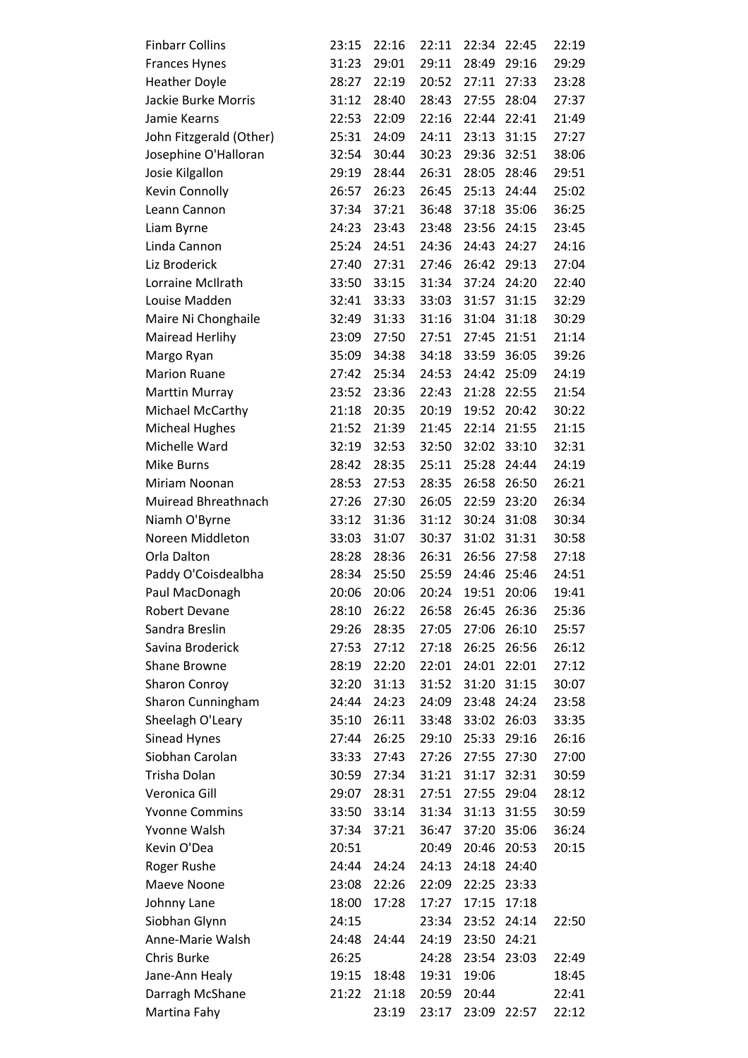| <b>Finbarr Collins</b>  | 23:15 | 22:16 | 22:11 | 22:34 | 22:45 | 22:19 |
|-------------------------|-------|-------|-------|-------|-------|-------|
| <b>Frances Hynes</b>    | 31:23 | 29:01 | 29:11 | 28:49 | 29:16 | 29:29 |
| <b>Heather Doyle</b>    | 28:27 | 22:19 | 20:52 | 27:11 | 27:33 | 23:28 |
| Jackie Burke Morris     | 31:12 | 28:40 | 28:43 | 27:55 | 28:04 | 27:37 |
| Jamie Kearns            | 22:53 | 22:09 | 22:16 | 22:44 | 22:41 | 21:49 |
| John Fitzgerald (Other) | 25:31 | 24:09 | 24:11 | 23:13 | 31:15 | 27:27 |
| Josephine O'Halloran    | 32:54 | 30:44 | 30:23 | 29:36 | 32:51 | 38:06 |
| Josie Kilgallon         | 29:19 | 28:44 | 26:31 | 28:05 | 28:46 | 29:51 |
| Kevin Connolly          | 26:57 | 26:23 | 26:45 | 25:13 | 24:44 | 25:02 |
| Leann Cannon            | 37:34 | 37:21 | 36:48 | 37:18 | 35:06 | 36:25 |
| Liam Byrne              | 24:23 | 23:43 | 23:48 | 23:56 | 24:15 | 23:45 |
| Linda Cannon            | 25:24 | 24:51 | 24:36 | 24:43 | 24:27 | 24:16 |
| Liz Broderick           | 27:40 | 27:31 | 27:46 | 26:42 | 29:13 | 27:04 |
| Lorraine McIlrath       | 33:50 | 33:15 | 31:34 | 37:24 | 24:20 | 22:40 |
| Louise Madden           | 32:41 | 33:33 | 33:03 | 31:57 | 31:15 | 32:29 |
| Maire Ni Chonghaile     | 32:49 | 31:33 | 31:16 | 31:04 | 31:18 | 30:29 |
| Mairead Herlihy         | 23:09 | 27:50 | 27:51 | 27:45 | 21:51 | 21:14 |
| Margo Ryan              | 35:09 | 34:38 | 34:18 | 33:59 | 36:05 | 39:26 |
| <b>Marion Ruane</b>     | 27:42 | 25:34 | 24:53 | 24:42 | 25:09 | 24:19 |
| Marttin Murray          | 23:52 | 23:36 | 22:43 | 21:28 | 22:55 | 21:54 |
| Michael McCarthy        | 21:18 | 20:35 | 20:19 | 19:52 | 20:42 | 30:22 |
| <b>Micheal Hughes</b>   | 21:52 | 21:39 | 21:45 | 22:14 | 21:55 | 21:15 |
| Michelle Ward           | 32:19 | 32:53 | 32:50 | 32:02 | 33:10 | 32:31 |
| Mike Burns              | 28:42 | 28:35 | 25:11 | 25:28 | 24:44 | 24:19 |
| Miriam Noonan           | 28:53 | 27:53 | 28:35 | 26:58 | 26:50 | 26:21 |
| Muiread Bhreathnach     | 27:26 | 27:30 | 26:05 | 22:59 | 23:20 | 26:34 |
| Niamh O'Byrne           | 33:12 | 31:36 | 31:12 | 30:24 | 31:08 | 30:34 |
| Noreen Middleton        | 33:03 | 31:07 | 30:37 | 31:02 | 31:31 | 30:58 |
| Orla Dalton             | 28:28 | 28:36 | 26:31 | 26:56 | 27:58 | 27:18 |
| Paddy O'Coisdealbha     | 28:34 | 25:50 | 25:59 | 24:46 | 25:46 | 24:51 |
| Paul MacDonagh          | 20:06 | 20:06 | 20:24 | 19:51 | 20:06 | 19:41 |
| <b>Robert Devane</b>    | 28:10 | 26:22 | 26:58 | 26:45 | 26:36 | 25:36 |
| Sandra Breslin          | 29:26 | 28:35 | 27:05 | 27:06 | 26:10 | 25:57 |
| Savina Broderick        | 27:53 | 27:12 | 27:18 | 26:25 | 26:56 | 26:12 |
| <b>Shane Browne</b>     | 28:19 | 22:20 | 22:01 | 24:01 | 22:01 | 27:12 |
| <b>Sharon Conroy</b>    | 32:20 | 31:13 | 31:52 | 31:20 | 31:15 | 30:07 |
| Sharon Cunningham       | 24:44 | 24:23 | 24:09 | 23:48 | 24:24 | 23:58 |
| Sheelagh O'Leary        | 35:10 | 26:11 | 33:48 | 33:02 | 26:03 | 33:35 |
| Sinead Hynes            | 27:44 | 26:25 | 29:10 | 25:33 | 29:16 | 26:16 |
| Siobhan Carolan         | 33:33 | 27:43 | 27:26 | 27:55 | 27:30 | 27:00 |
| Trisha Dolan            | 30:59 | 27:34 | 31:21 | 31:17 | 32:31 | 30:59 |
| Veronica Gill           | 29:07 | 28:31 | 27:51 | 27:55 | 29:04 | 28:12 |
| <b>Yvonne Commins</b>   | 33:50 | 33:14 | 31:34 | 31:13 | 31:55 | 30:59 |
| Yvonne Walsh            | 37:34 | 37:21 | 36:47 | 37:20 | 35:06 | 36:24 |
| Kevin O'Dea             | 20:51 |       | 20:49 | 20:46 | 20:53 | 20:15 |
| Roger Rushe             | 24:44 | 24:24 | 24:13 | 24:18 | 24:40 |       |
| Maeve Noone             | 23:08 | 22:26 | 22:09 | 22:25 | 23:33 |       |
| Johnny Lane             | 18:00 | 17:28 | 17:27 | 17:15 | 17:18 |       |
| Siobhan Glynn           | 24:15 |       | 23:34 | 23:52 | 24:14 | 22:50 |
| Anne-Marie Walsh        | 24:48 | 24:44 | 24:19 | 23:50 | 24:21 |       |
| Chris Burke             | 26:25 |       | 24:28 | 23:54 | 23:03 | 22:49 |
| Jane-Ann Healy          | 19:15 | 18:48 | 19:31 | 19:06 |       | 18:45 |
| Darragh McShane         | 21:22 | 21:18 | 20:59 | 20:44 |       | 22:41 |
| Martina Fahy            |       | 23:19 | 23:17 | 23:09 | 22:57 | 22:12 |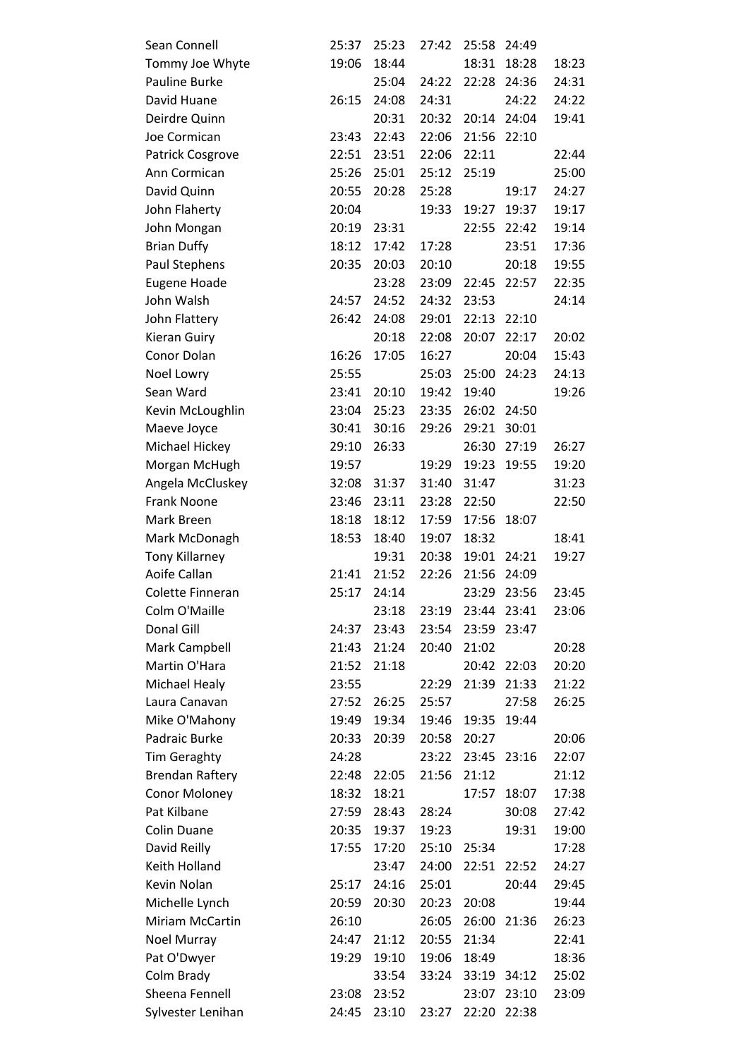| Sean Connell           | 25:37 | 25:23 | 27:42 | 25:58 | 24:49       |       |
|------------------------|-------|-------|-------|-------|-------------|-------|
| Tommy Joe Whyte        | 19:06 | 18:44 |       | 18:31 | 18:28       | 18:23 |
| Pauline Burke          |       | 25:04 | 24:22 | 22:28 | 24:36       | 24:31 |
| David Huane            | 26:15 | 24:08 | 24:31 |       | 24:22       | 24:22 |
| Deirdre Quinn          |       | 20:31 | 20:32 | 20:14 | 24:04       | 19:41 |
| Joe Cormican           | 23:43 | 22:43 | 22:06 | 21:56 | 22:10       |       |
| Patrick Cosgrove       | 22:51 | 23:51 | 22:06 | 22:11 |             | 22:44 |
| Ann Cormican           | 25:26 | 25:01 | 25:12 | 25:19 |             | 25:00 |
| David Quinn            | 20:55 | 20:28 | 25:28 |       | 19:17       | 24:27 |
| John Flaherty          | 20:04 |       | 19:33 | 19:27 | 19:37       | 19:17 |
| John Mongan            | 20:19 | 23:31 |       | 22:55 | 22:42       | 19:14 |
| <b>Brian Duffy</b>     | 18:12 | 17:42 | 17:28 |       | 23:51       | 17:36 |
| Paul Stephens          | 20:35 | 20:03 | 20:10 |       | 20:18       | 19:55 |
| Eugene Hoade           |       | 23:28 | 23:09 | 22:45 | 22:57       | 22:35 |
| John Walsh             | 24:57 | 24:52 | 24:32 | 23:53 |             | 24:14 |
| John Flattery          | 26:42 | 24:08 | 29:01 | 22:13 | 22:10       |       |
| Kieran Guiry           |       | 20:18 | 22:08 | 20:07 | 22:17       | 20:02 |
| Conor Dolan            | 16:26 | 17:05 | 16:27 |       | 20:04       | 15:43 |
| Noel Lowry             | 25:55 |       | 25:03 | 25:00 | 24:23       | 24:13 |
| Sean Ward              | 23:41 | 20:10 | 19:42 | 19:40 |             | 19:26 |
| Kevin McLoughlin       | 23:04 | 25:23 | 23:35 | 26:02 | 24:50       |       |
| Maeve Joyce            | 30:41 | 30:16 | 29:26 | 29:21 | 30:01       |       |
| Michael Hickey         | 29:10 | 26:33 |       | 26:30 | 27:19       | 26:27 |
| Morgan McHugh          | 19:57 |       | 19:29 | 19:23 | 19:55       | 19:20 |
| Angela McCluskey       | 32:08 | 31:37 | 31:40 | 31:47 |             | 31:23 |
| Frank Noone            | 23:46 | 23:11 | 23:28 | 22:50 |             | 22:50 |
| Mark Breen             | 18:18 | 18:12 | 17:59 | 17:56 | 18:07       |       |
| Mark McDonagh          | 18:53 | 18:40 | 19:07 | 18:32 |             | 18:41 |
| <b>Tony Killarney</b>  |       | 19:31 | 20:38 |       | 19:01 24:21 | 19:27 |
| Aoife Callan           | 21:41 | 21:52 | 22:26 | 21:56 | 24:09       |       |
| Colette Finneran       | 25:17 | 24:14 |       | 23:29 | 23:56       | 23:45 |
| Colm O'Maille          |       | 23:18 | 23:19 | 23:44 | 23:41       | 23:06 |
| Donal Gill             | 24:37 | 23:43 | 23:54 | 23:59 | 23:47       |       |
| Mark Campbell          | 21:43 | 21:24 | 20:40 | 21:02 |             | 20:28 |
| Martin O'Hara          | 21:52 | 21:18 |       | 20:42 | 22:03       | 20:20 |
| <b>Michael Healy</b>   | 23:55 |       | 22:29 | 21:39 | 21:33       | 21:22 |
| Laura Canavan          | 27:52 | 26:25 | 25:57 |       | 27:58       | 26:25 |
| Mike O'Mahony          | 19:49 | 19:34 | 19:46 | 19:35 | 19:44       |       |
| Padraic Burke          | 20:33 | 20:39 | 20:58 | 20:27 |             | 20:06 |
| <b>Tim Geraghty</b>    | 24:28 |       | 23:22 | 23:45 | 23:16       | 22:07 |
| <b>Brendan Raftery</b> | 22:48 | 22:05 | 21:56 | 21:12 |             | 21:12 |
| Conor Moloney          | 18:32 | 18:21 |       | 17:57 | 18:07       | 17:38 |
| Pat Kilbane            | 27:59 | 28:43 | 28:24 |       | 30:08       | 27:42 |
| <b>Colin Duane</b>     | 20:35 | 19:37 | 19:23 |       | 19:31       | 19:00 |
| David Reilly           | 17:55 | 17:20 | 25:10 | 25:34 |             | 17:28 |
| Keith Holland          |       | 23:47 | 24:00 | 22:51 | 22:52       | 24:27 |
| Kevin Nolan            | 25:17 | 24:16 | 25:01 |       | 20:44       | 29:45 |
| Michelle Lynch         | 20:59 | 20:30 | 20:23 | 20:08 |             | 19:44 |
| Miriam McCartin        | 26:10 |       | 26:05 | 26:00 | 21:36       | 26:23 |
| Noel Murray            | 24:47 | 21:12 | 20:55 | 21:34 |             | 22:41 |
| Pat O'Dwyer            | 19:29 | 19:10 | 19:06 | 18:49 |             | 18:36 |
| Colm Brady             |       | 33:54 | 33:24 |       | 33:19 34:12 | 25:02 |
| Sheena Fennell         | 23:08 | 23:52 |       | 23:07 | 23:10       | 23:09 |
| Sylvester Lenihan      | 24:45 | 23:10 | 23:27 | 22:20 | 22:38       |       |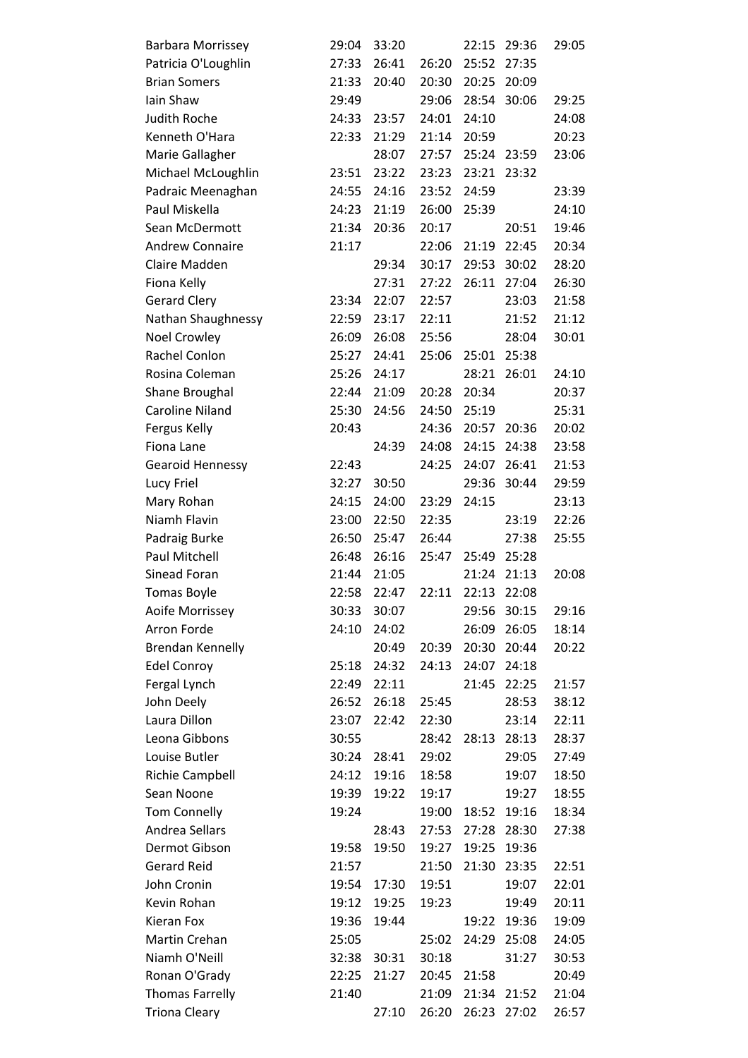| <b>Barbara Morrissey</b> | 29:04 | 33:20 |       | 22:15 | 29:36       | 29:05 |
|--------------------------|-------|-------|-------|-------|-------------|-------|
| Patricia O'Loughlin      | 27:33 | 26:41 | 26:20 | 25:52 | 27:35       |       |
| <b>Brian Somers</b>      | 21:33 | 20:40 | 20:30 | 20:25 | 20:09       |       |
| Iain Shaw                | 29:49 |       | 29:06 | 28:54 | 30:06       | 29:25 |
| <b>Judith Roche</b>      | 24:33 | 23:57 | 24:01 | 24:10 |             | 24:08 |
| Kenneth O'Hara           | 22:33 | 21:29 | 21:14 | 20:59 |             | 20:23 |
| Marie Gallagher          |       | 28:07 | 27:57 | 25:24 | 23:59       | 23:06 |
| Michael McLoughlin       | 23:51 | 23:22 | 23:23 | 23:21 | 23:32       |       |
| Padraic Meenaghan        | 24:55 | 24:16 | 23:52 | 24:59 |             | 23:39 |
| Paul Miskella            | 24:23 | 21:19 | 26:00 | 25:39 |             | 24:10 |
| Sean McDermott           | 21:34 | 20:36 | 20:17 |       | 20:51       | 19:46 |
| <b>Andrew Connaire</b>   | 21:17 |       | 22:06 | 21:19 | 22:45       | 20:34 |
| Claire Madden            |       | 29:34 | 30:17 | 29:53 | 30:02       | 28:20 |
| Fiona Kelly              |       | 27:31 | 27:22 | 26:11 | 27:04       | 26:30 |
| <b>Gerard Clery</b>      | 23:34 | 22:07 | 22:57 |       | 23:03       | 21:58 |
| Nathan Shaughnessy       | 22:59 | 23:17 | 22:11 |       | 21:52       | 21:12 |
| <b>Noel Crowley</b>      | 26:09 | 26:08 | 25:56 |       | 28:04       | 30:01 |
| Rachel Conlon            | 25:27 | 24:41 | 25:06 | 25:01 | 25:38       |       |
| Rosina Coleman           | 25:26 | 24:17 |       | 28:21 | 26:01       | 24:10 |
| Shane Broughal           | 22:44 | 21:09 | 20:28 | 20:34 |             | 20:37 |
| <b>Caroline Niland</b>   | 25:30 | 24:56 | 24:50 | 25:19 |             | 25:31 |
| Fergus Kelly             | 20:43 |       | 24:36 |       | 20:57 20:36 | 20:02 |
| Fiona Lane               |       | 24:39 | 24:08 | 24:15 | 24:38       | 23:58 |
| <b>Gearoid Hennessy</b>  | 22:43 |       | 24:25 | 24:07 | 26:41       | 21:53 |
| Lucy Friel               | 32:27 | 30:50 |       | 29:36 | 30:44       | 29:59 |
| Mary Rohan               | 24:15 | 24:00 | 23:29 | 24:15 |             | 23:13 |
| Niamh Flavin             | 23:00 | 22:50 | 22:35 |       | 23:19       | 22:26 |
| Padraig Burke            | 26:50 | 25:47 | 26:44 |       | 27:38       | 25:55 |
| Paul Mitchell            | 26:48 | 26:16 | 25:47 | 25:49 | 25:28       |       |
| Sinead Foran             | 21:44 | 21:05 |       | 21:24 | 21:13       | 20:08 |
| <b>Tomas Boyle</b>       | 22:58 | 22:47 | 22:11 | 22:13 | 22:08       |       |
| Aoife Morrissey          | 30:33 | 30:07 |       | 29:56 | 30:15       | 29:16 |
| Arron Forde              | 24:10 | 24:02 |       | 26:09 | 26:05       | 18:14 |
| <b>Brendan Kennelly</b>  |       | 20:49 | 20:39 | 20:30 | 20:44       | 20:22 |
| <b>Edel Conroy</b>       | 25:18 | 24:32 | 24:13 | 24:07 | 24:18       |       |
| Fergal Lynch             | 22:49 | 22:11 |       | 21:45 | 22:25       | 21:57 |
| John Deely               | 26:52 | 26:18 | 25:45 |       | 28:53       | 38:12 |
| Laura Dillon             | 23:07 | 22:42 | 22:30 |       | 23:14       | 22:11 |
| Leona Gibbons            | 30:55 |       | 28:42 | 28:13 | 28:13       | 28:37 |
| Louise Butler            | 30:24 | 28:41 | 29:02 |       | 29:05       | 27:49 |
| <b>Richie Campbell</b>   | 24:12 | 19:16 | 18:58 |       | 19:07       | 18:50 |
| Sean Noone               | 19:39 | 19:22 | 19:17 |       | 19:27       | 18:55 |
| <b>Tom Connelly</b>      | 19:24 |       | 19:00 | 18:52 | 19:16       | 18:34 |
| Andrea Sellars           |       | 28:43 | 27:53 | 27:28 | 28:30       | 27:38 |
| Dermot Gibson            | 19:58 | 19:50 | 19:27 | 19:25 | 19:36       |       |
| <b>Gerard Reid</b>       | 21:57 |       | 21:50 | 21:30 | 23:35       | 22:51 |
| John Cronin              | 19:54 | 17:30 | 19:51 |       | 19:07       | 22:01 |
| Kevin Rohan              | 19:12 | 19:25 | 19:23 |       | 19:49       | 20:11 |
| Kieran Fox               | 19:36 | 19:44 |       | 19:22 | 19:36       | 19:09 |
| Martin Crehan            | 25:05 |       | 25:02 | 24:29 | 25:08       | 24:05 |
| Niamh O'Neill            | 32:38 | 30:31 | 30:18 |       | 31:27       | 30:53 |
| Ronan O'Grady            | 22:25 | 21:27 | 20:45 | 21:58 |             | 20:49 |
| <b>Thomas Farrelly</b>   | 21:40 |       | 21:09 | 21:34 | 21:52       | 21:04 |
| <b>Triona Cleary</b>     |       | 27:10 | 26:20 | 26:23 | 27:02       | 26:57 |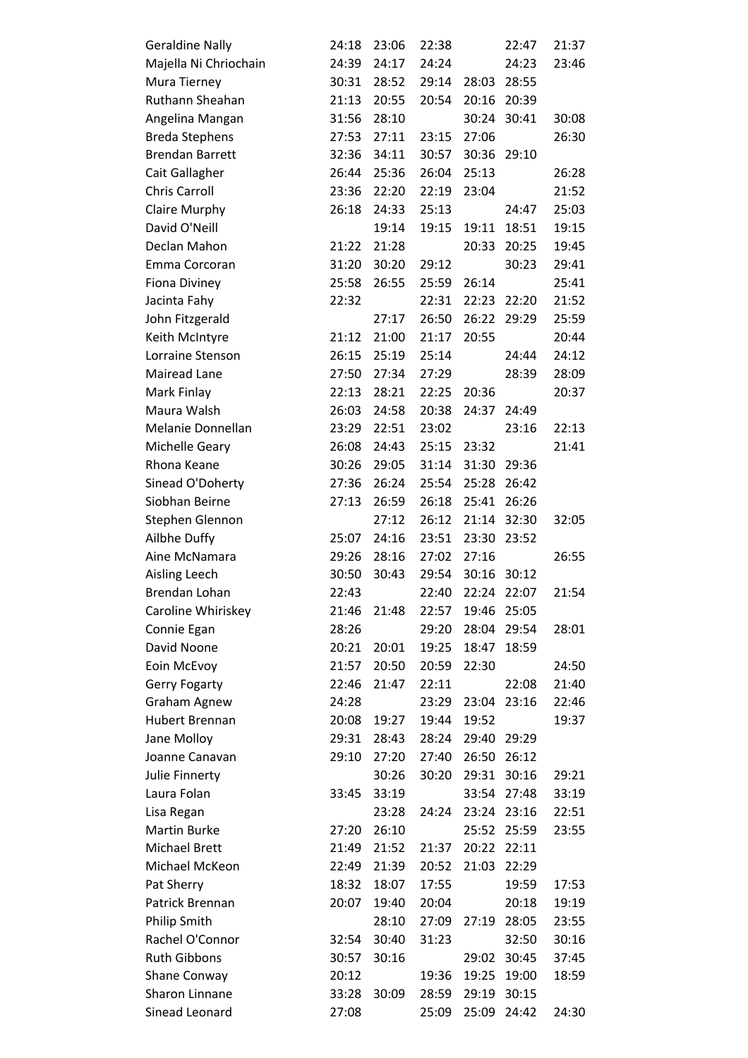| <b>Geraldine Nally</b> | 24:18 | 23:06 | 22:38 |       | 22:47 | 21:37 |
|------------------------|-------|-------|-------|-------|-------|-------|
| Majella Ni Chriochain  | 24:39 | 24:17 | 24:24 |       | 24:23 | 23:46 |
| Mura Tierney           | 30:31 | 28:52 | 29:14 | 28:03 | 28:55 |       |
| Ruthann Sheahan        | 21:13 | 20:55 | 20:54 | 20:16 | 20:39 |       |
| Angelina Mangan        | 31:56 | 28:10 |       | 30:24 | 30:41 | 30:08 |
| <b>Breda Stephens</b>  | 27:53 | 27:11 | 23:15 | 27:06 |       | 26:30 |
| <b>Brendan Barrett</b> | 32:36 | 34:11 | 30:57 | 30:36 | 29:10 |       |
| Cait Gallagher         | 26:44 | 25:36 | 26:04 | 25:13 |       | 26:28 |
| <b>Chris Carroll</b>   | 23:36 | 22:20 | 22:19 | 23:04 |       | 21:52 |
| Claire Murphy          | 26:18 | 24:33 | 25:13 |       | 24:47 | 25:03 |
| David O'Neill          |       | 19:14 | 19:15 | 19:11 | 18:51 | 19:15 |
| Declan Mahon           | 21:22 | 21:28 |       | 20:33 | 20:25 | 19:45 |
| Emma Corcoran          | 31:20 | 30:20 | 29:12 |       | 30:23 | 29:41 |
| <b>Fiona Diviney</b>   | 25:58 | 26:55 | 25:59 | 26:14 |       | 25:41 |
| Jacinta Fahy           | 22:32 |       | 22:31 | 22:23 | 22:20 | 21:52 |
| John Fitzgerald        |       | 27:17 | 26:50 | 26:22 | 29:29 | 25:59 |
| Keith McIntyre         | 21:12 | 21:00 | 21:17 | 20:55 |       | 20:44 |
| Lorraine Stenson       | 26:15 | 25:19 | 25:14 |       | 24:44 | 24:12 |
| Mairead Lane           | 27:50 | 27:34 | 27:29 |       | 28:39 | 28:09 |
| Mark Finlay            | 22:13 | 28:21 | 22:25 | 20:36 |       | 20:37 |
| Maura Walsh            | 26:03 | 24:58 | 20:38 | 24:37 | 24:49 |       |
| Melanie Donnellan      | 23:29 | 22:51 | 23:02 |       | 23:16 | 22:13 |
| Michelle Geary         | 26:08 | 24:43 | 25:15 | 23:32 |       | 21:41 |
| Rhona Keane            | 30:26 | 29:05 | 31:14 | 31:30 | 29:36 |       |
| Sinead O'Doherty       | 27:36 | 26:24 | 25:54 | 25:28 | 26:42 |       |
| Siobhan Beirne         | 27:13 | 26:59 | 26:18 | 25:41 | 26:26 |       |
| Stephen Glennon        |       | 27:12 | 26:12 | 21:14 | 32:30 | 32:05 |
| Ailbhe Duffy           | 25:07 | 24:16 | 23:51 | 23:30 | 23:52 |       |
| Aine McNamara          | 29:26 | 28:16 | 27:02 | 27:16 |       | 26:55 |
| Aisling Leech          | 30:50 | 30:43 | 29:54 | 30:16 | 30:12 |       |
| Brendan Lohan          | 22:43 |       | 22:40 | 22:24 | 22:07 | 21:54 |
| Caroline Whiriskey     | 21:46 | 21:48 | 22:57 | 19:46 | 25:05 |       |
| Connie Egan            | 28:26 |       | 29:20 | 28:04 | 29:54 | 28:01 |
| David Noone            | 20:21 | 20:01 | 19:25 | 18:47 | 18:59 |       |
| Eoin McEvoy            | 21:57 | 20:50 | 20:59 | 22:30 |       | 24:50 |
| <b>Gerry Fogarty</b>   | 22:46 | 21:47 | 22:11 |       | 22:08 | 21:40 |
| <b>Graham Agnew</b>    | 24:28 |       | 23:29 | 23:04 | 23:16 | 22:46 |
| <b>Hubert Brennan</b>  | 20:08 | 19:27 | 19:44 | 19:52 |       | 19:37 |
| Jane Molloy            | 29:31 | 28:43 | 28:24 | 29:40 | 29:29 |       |
| Joanne Canavan         | 29:10 | 27:20 | 27:40 | 26:50 | 26:12 |       |
| Julie Finnerty         |       | 30:26 | 30:20 | 29:31 | 30:16 | 29:21 |
| Laura Folan            | 33:45 | 33:19 |       | 33:54 | 27:48 | 33:19 |
| Lisa Regan             |       | 23:28 | 24:24 | 23:24 | 23:16 | 22:51 |
| <b>Martin Burke</b>    | 27:20 | 26:10 |       | 25:52 | 25:59 | 23:55 |
| <b>Michael Brett</b>   | 21:49 | 21:52 | 21:37 | 20:22 | 22:11 |       |
| Michael McKeon         | 22:49 | 21:39 | 20:52 | 21:03 | 22:29 |       |
| Pat Sherry             | 18:32 | 18:07 | 17:55 |       | 19:59 | 17:53 |
| Patrick Brennan        | 20:07 | 19:40 | 20:04 |       | 20:18 | 19:19 |
| <b>Philip Smith</b>    |       | 28:10 | 27:09 | 27:19 | 28:05 | 23:55 |
| Rachel O'Connor        | 32:54 | 30:40 | 31:23 |       | 32:50 | 30:16 |
| <b>Ruth Gibbons</b>    | 30:57 | 30:16 |       | 29:02 | 30:45 | 37:45 |
| Shane Conway           | 20:12 |       | 19:36 | 19:25 | 19:00 | 18:59 |
| Sharon Linnane         | 33:28 | 30:09 | 28:59 | 29:19 | 30:15 |       |
| Sinead Leonard         | 27:08 |       | 25:09 | 25:09 | 24:42 | 24:30 |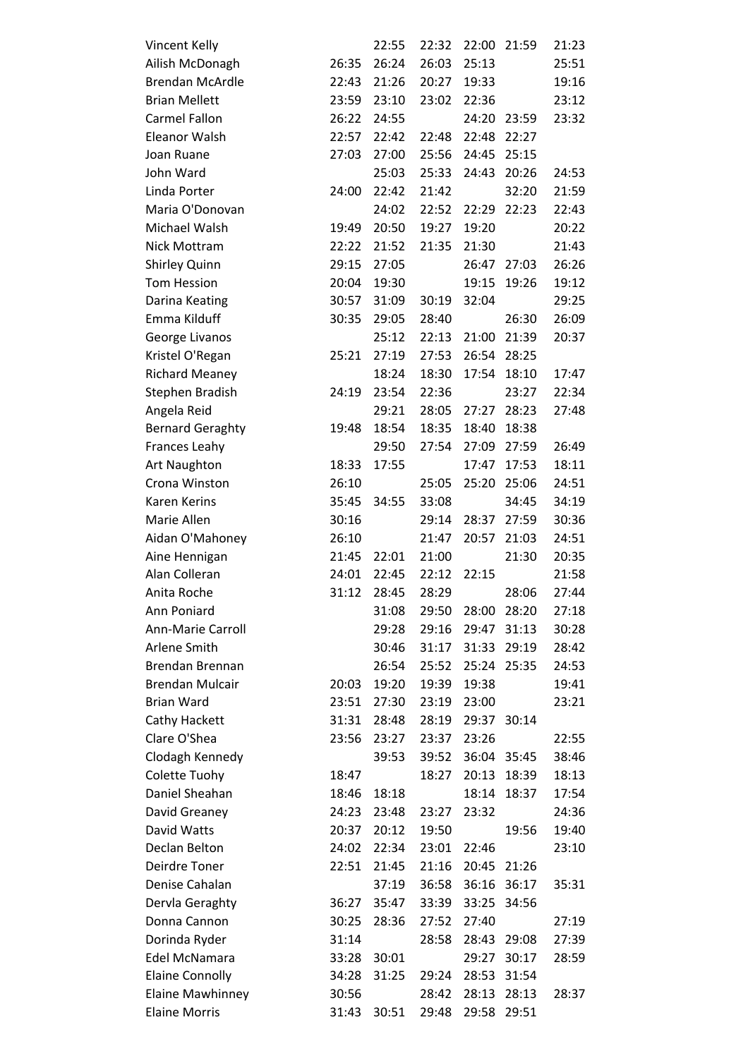| Vincent Kelly           |       | 22:55 | 22:32 | 22:00 | 21:59       | 21:23 |
|-------------------------|-------|-------|-------|-------|-------------|-------|
| Ailish McDonagh         | 26:35 | 26:24 | 26:03 | 25:13 |             | 25:51 |
| <b>Brendan McArdle</b>  | 22:43 | 21:26 | 20:27 | 19:33 |             | 19:16 |
| <b>Brian Mellett</b>    | 23:59 | 23:10 | 23:02 | 22:36 |             | 23:12 |
| <b>Carmel Fallon</b>    | 26:22 | 24:55 |       | 24:20 | 23:59       | 23:32 |
| Eleanor Walsh           | 22:57 | 22:42 | 22:48 | 22:48 | 22:27       |       |
| Joan Ruane              | 27:03 | 27:00 | 25:56 | 24:45 | 25:15       |       |
| John Ward               |       | 25:03 | 25:33 | 24:43 | 20:26       | 24:53 |
| Linda Porter            | 24:00 | 22:42 | 21:42 |       | 32:20       | 21:59 |
| Maria O'Donovan         |       | 24:02 | 22:52 | 22:29 | 22:23       | 22:43 |
| Michael Walsh           | 19:49 | 20:50 | 19:27 | 19:20 |             | 20:22 |
| Nick Mottram            | 22:22 | 21:52 | 21:35 | 21:30 |             | 21:43 |
| Shirley Quinn           | 29:15 | 27:05 |       | 26:47 | 27:03       | 26:26 |
| <b>Tom Hession</b>      | 20:04 | 19:30 |       | 19:15 | 19:26       | 19:12 |
| Darina Keating          | 30:57 | 31:09 | 30:19 | 32:04 |             | 29:25 |
| Emma Kilduff            | 30:35 | 29:05 | 28:40 |       | 26:30       | 26:09 |
| George Livanos          |       | 25:12 | 22:13 | 21:00 | 21:39       | 20:37 |
| Kristel O'Regan         | 25:21 | 27:19 | 27:53 | 26:54 | 28:25       |       |
| <b>Richard Meaney</b>   |       | 18:24 | 18:30 | 17:54 | 18:10       | 17:47 |
| Stephen Bradish         | 24:19 | 23:54 | 22:36 |       | 23:27       | 22:34 |
| Angela Reid             |       | 29:21 | 28:05 | 27:27 | 28:23       | 27:48 |
| <b>Bernard Geraghty</b> | 19:48 | 18:54 | 18:35 | 18:40 | 18:38       |       |
| Frances Leahy           |       | 29:50 | 27:54 | 27:09 | 27:59       | 26:49 |
| <b>Art Naughton</b>     | 18:33 | 17:55 |       | 17:47 | 17:53       | 18:11 |
| Crona Winston           | 26:10 |       | 25:05 | 25:20 | 25:06       | 24:51 |
| Karen Kerins            | 35:45 | 34:55 | 33:08 |       | 34:45       | 34:19 |
| Marie Allen             | 30:16 |       | 29:14 | 28:37 | 27:59       | 30:36 |
| Aidan O'Mahoney         | 26:10 |       | 21:47 | 20:57 | 21:03       | 24:51 |
| Aine Hennigan           | 21:45 | 22:01 | 21:00 |       | 21:30       | 20:35 |
| Alan Colleran           | 24:01 | 22:45 | 22:12 | 22:15 |             | 21:58 |
| Anita Roche             | 31:12 | 28:45 | 28:29 |       | 28:06       | 27:44 |
| Ann Poniard             |       | 31:08 | 29:50 | 28:00 | 28:20       | 27:18 |
| Ann-Marie Carroll       |       | 29:28 | 29:16 | 29:47 | 31:13       | 30:28 |
| Arlene Smith            |       | 30:46 | 31:17 |       | 31:33 29:19 | 28:42 |
| Brendan Brennan         |       | 26:54 | 25:52 | 25:24 | 25:35       | 24:53 |
| <b>Brendan Mulcair</b>  | 20:03 | 19:20 | 19:39 | 19:38 |             | 19:41 |
| <b>Brian Ward</b>       | 23:51 | 27:30 | 23:19 | 23:00 |             | 23:21 |
| Cathy Hackett           | 31:31 | 28:48 | 28:19 |       | 29:37 30:14 |       |
| Clare O'Shea            | 23:56 | 23:27 | 23:37 | 23:26 |             | 22:55 |
| Clodagh Kennedy         |       | 39:53 | 39:52 |       | 36:04 35:45 | 38:46 |
| Colette Tuohy           | 18:47 |       | 18:27 | 20:13 | 18:39       | 18:13 |
| Daniel Sheahan          | 18:46 | 18:18 |       | 18:14 | 18:37       | 17:54 |
| David Greaney           | 24:23 | 23:48 | 23:27 | 23:32 |             | 24:36 |
| David Watts             | 20:37 | 20:12 | 19:50 |       | 19:56       | 19:40 |
| Declan Belton           | 24:02 | 22:34 | 23:01 | 22:46 |             | 23:10 |
| Deirdre Toner           | 22:51 | 21:45 | 21:16 |       | 20:45 21:26 |       |
| Denise Cahalan          |       | 37:19 | 36:58 |       | 36:16 36:17 | 35:31 |
| Dervla Geraghty         | 36:27 | 35:47 | 33:39 | 33:25 | 34:56       |       |
| Donna Cannon            | 30:25 | 28:36 | 27:52 | 27:40 |             | 27:19 |
| Dorinda Ryder           | 31:14 |       | 28:58 | 28:43 | 29:08       | 27:39 |
| Edel McNamara           | 33:28 | 30:01 |       | 29:27 | 30:17       | 28:59 |
| <b>Elaine Connolly</b>  | 34:28 | 31:25 | 29:24 | 28:53 | 31:54       |       |
| Elaine Mawhinney        | 30:56 |       | 28:42 | 28:13 | 28:13       | 28:37 |
| <b>Elaine Morris</b>    | 31:43 | 30:51 | 29:48 | 29:58 | 29:51       |       |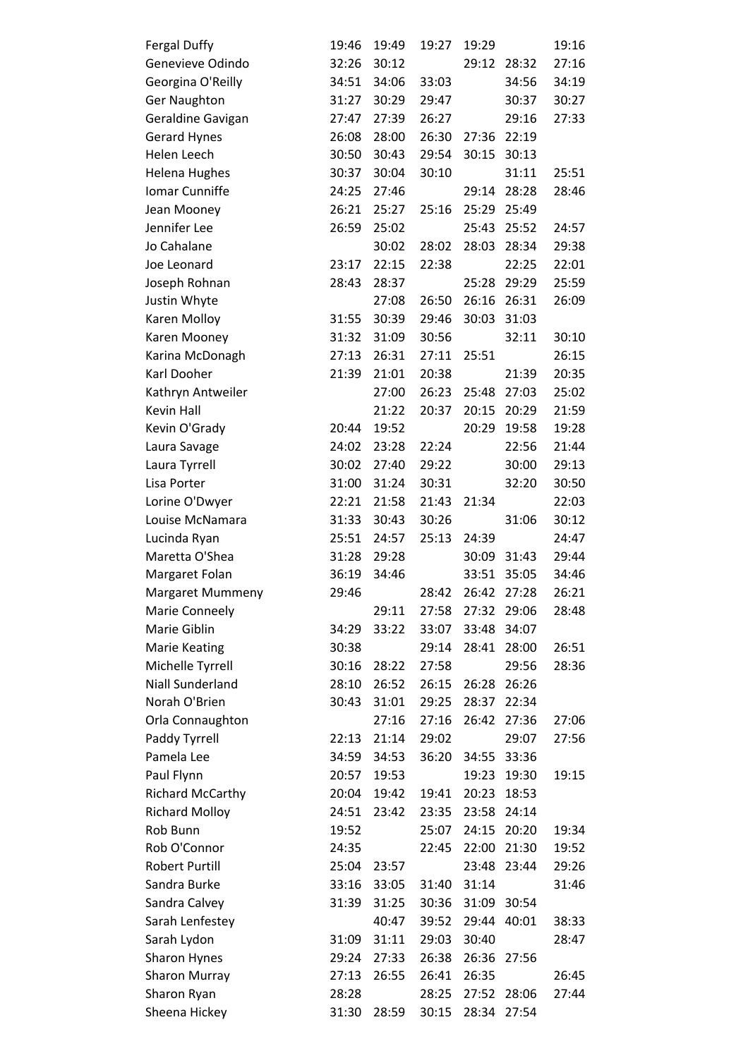| <b>Fergal Duffy</b>     | 19:46 | 19:49 | 19:27 | 19:29 |             | 19:16 |
|-------------------------|-------|-------|-------|-------|-------------|-------|
| Genevieve Odindo        | 32:26 | 30:12 |       |       | 29:12 28:32 | 27:16 |
| Georgina O'Reilly       | 34:51 | 34:06 | 33:03 |       | 34:56       | 34:19 |
| <b>Ger Naughton</b>     | 31:27 | 30:29 | 29:47 |       | 30:37       | 30:27 |
| Geraldine Gavigan       | 27:47 | 27:39 | 26:27 |       | 29:16       | 27:33 |
| <b>Gerard Hynes</b>     | 26:08 | 28:00 | 26:30 | 27:36 | 22:19       |       |
| Helen Leech             | 30:50 | 30:43 | 29:54 | 30:15 | 30:13       |       |
| <b>Helena Hughes</b>    | 30:37 | 30:04 | 30:10 |       | 31:11       | 25:51 |
| Iomar Cunniffe          | 24:25 | 27:46 |       | 29:14 | 28:28       | 28:46 |
| Jean Mooney             | 26:21 | 25:27 | 25:16 | 25:29 | 25:49       |       |
| Jennifer Lee            | 26:59 | 25:02 |       | 25:43 | 25:52       | 24:57 |
| Jo Cahalane             |       | 30:02 | 28:02 | 28:03 | 28:34       | 29:38 |
| Joe Leonard             | 23:17 | 22:15 | 22:38 |       | 22:25       | 22:01 |
| Joseph Rohnan           | 28:43 | 28:37 |       | 25:28 | 29:29       | 25:59 |
| Justin Whyte            |       | 27:08 | 26:50 | 26:16 | 26:31       | 26:09 |
| Karen Molloy            | 31:55 | 30:39 | 29:46 | 30:03 | 31:03       |       |
| Karen Mooney            | 31:32 | 31:09 | 30:56 |       | 32:11       | 30:10 |
| Karina McDonagh         | 27:13 | 26:31 | 27:11 | 25:51 |             | 26:15 |
| Karl Dooher             | 21:39 | 21:01 | 20:38 |       | 21:39       | 20:35 |
| Kathryn Antweiler       |       | 27:00 | 26:23 | 25:48 | 27:03       | 25:02 |
| Kevin Hall              |       | 21:22 | 20:37 | 20:15 | 20:29       | 21:59 |
| Kevin O'Grady           | 20:44 | 19:52 |       | 20:29 | 19:58       | 19:28 |
| Laura Savage            | 24:02 | 23:28 | 22:24 |       | 22:56       | 21:44 |
| Laura Tyrrell           | 30:02 | 27:40 | 29:22 |       | 30:00       | 29:13 |
| Lisa Porter             | 31:00 | 31:24 | 30:31 |       | 32:20       | 30:50 |
| Lorine O'Dwyer          | 22:21 | 21:58 | 21:43 | 21:34 |             | 22:03 |
| Louise McNamara         | 31:33 | 30:43 | 30:26 |       | 31:06       | 30:12 |
| Lucinda Ryan            | 25:51 | 24:57 | 25:13 | 24:39 |             | 24:47 |
| Maretta O'Shea          | 31:28 | 29:28 |       | 30:09 | 31:43       | 29:44 |
| Margaret Folan          | 36:19 | 34:46 |       | 33:51 | 35:05       | 34:46 |
| Margaret Mummeny        | 29:46 |       | 28:42 | 26:42 | 27:28       | 26:21 |
| Marie Conneely          |       | 29:11 | 27:58 | 27:32 | 29:06       | 28:48 |
| Marie Giblin            | 34:29 | 33:22 | 33:07 | 33:48 | 34:07       |       |
| <b>Marie Keating</b>    | 30:38 |       | 29:14 | 28:41 | 28:00       | 26:51 |
| Michelle Tyrrell        | 30:16 | 28:22 | 27:58 |       | 29:56       | 28:36 |
| <b>Niall Sunderland</b> | 28:10 | 26:52 | 26:15 | 26:28 | 26:26       |       |
| Norah O'Brien           | 30:43 | 31:01 | 29:25 | 28:37 | 22:34       |       |
| Orla Connaughton        |       | 27:16 | 27:16 | 26:42 | 27:36       | 27:06 |
| Paddy Tyrrell           | 22:13 | 21:14 | 29:02 |       | 29:07       | 27:56 |
| Pamela Lee              | 34:59 | 34:53 | 36:20 | 34:55 | 33:36       |       |
| Paul Flynn              | 20:57 | 19:53 |       | 19:23 | 19:30       | 19:15 |
| <b>Richard McCarthy</b> | 20:04 | 19:42 | 19:41 | 20:23 | 18:53       |       |
| <b>Richard Molloy</b>   | 24:51 | 23:42 | 23:35 | 23:58 | 24:14       |       |
| Rob Bunn                | 19:52 |       | 25:07 | 24:15 | 20:20       | 19:34 |
| Rob O'Connor            | 24:35 |       | 22:45 | 22:00 | 21:30       | 19:52 |
| <b>Robert Purtill</b>   | 25:04 | 23:57 |       | 23:48 | 23:44       | 29:26 |
| Sandra Burke            | 33:16 | 33:05 | 31:40 | 31:14 |             | 31:46 |
| Sandra Calvey           | 31:39 | 31:25 | 30:36 | 31:09 | 30:54       |       |
| Sarah Lenfestey         |       | 40:47 | 39:52 | 29:44 | 40:01       | 38:33 |
| Sarah Lydon             | 31:09 | 31:11 | 29:03 | 30:40 |             | 28:47 |
| Sharon Hynes            | 29:24 | 27:33 | 26:38 | 26:36 | 27:56       |       |
| <b>Sharon Murray</b>    | 27:13 | 26:55 | 26:41 | 26:35 |             | 26:45 |
| Sharon Ryan             | 28:28 |       | 28:25 | 27:52 | 28:06       | 27:44 |
| Sheena Hickey           | 31:30 | 28:59 | 30:15 | 28:34 | 27:54       |       |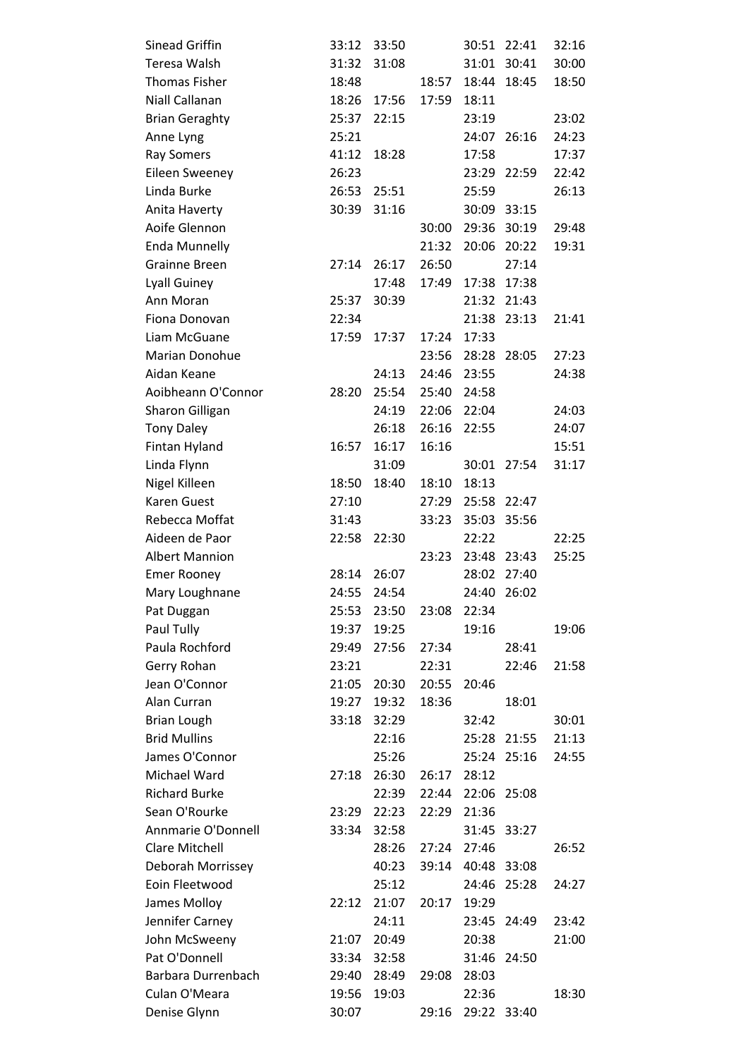| Sinead Griffin         | 33:12 | 33:50 |       | 30:51 | 22:41       | 32:16 |
|------------------------|-------|-------|-------|-------|-------------|-------|
| Teresa Walsh           | 31:32 | 31:08 |       |       | 31:01 30:41 | 30:00 |
| <b>Thomas Fisher</b>   | 18:48 |       | 18:57 |       | 18:44 18:45 | 18:50 |
| Niall Callanan         | 18:26 | 17:56 | 17:59 | 18:11 |             |       |
| <b>Brian Geraghty</b>  | 25:37 | 22:15 |       | 23:19 |             | 23:02 |
| Anne Lyng              | 25:21 |       |       | 24:07 | 26:16       | 24:23 |
| <b>Ray Somers</b>      | 41:12 | 18:28 |       | 17:58 |             | 17:37 |
| <b>Eileen Sweeney</b>  | 26:23 |       |       | 23:29 | 22:59       | 22:42 |
| Linda Burke            | 26:53 | 25:51 |       | 25:59 |             | 26:13 |
| Anita Haverty          | 30:39 | 31:16 |       |       | 30:09 33:15 |       |
| Aoife Glennon          |       |       | 30:00 | 29:36 | 30:19       | 29:48 |
| <b>Enda Munnelly</b>   |       |       | 21:32 | 20:06 | 20:22       | 19:31 |
| <b>Grainne Breen</b>   | 27:14 | 26:17 | 26:50 |       | 27:14       |       |
| <b>Lyall Guiney</b>    |       | 17:48 | 17:49 | 17:38 | 17:38       |       |
| Ann Moran              | 25:37 | 30:39 |       | 21:32 | 21:43       |       |
| Fiona Donovan          | 22:34 |       |       | 21:38 | 23:13       | 21:41 |
| Liam McGuane           | 17:59 | 17:37 | 17:24 | 17:33 |             |       |
| Marian Donohue         |       |       | 23:56 | 28:28 | 28:05       | 27:23 |
| Aidan Keane            |       | 24:13 | 24:46 | 23:55 |             | 24:38 |
| Aoibheann O'Connor     | 28:20 | 25:54 | 25:40 | 24:58 |             |       |
| <b>Sharon Gilligan</b> |       | 24:19 | 22:06 | 22:04 |             | 24:03 |
| <b>Tony Daley</b>      |       | 26:18 | 26:16 | 22:55 |             | 24:07 |
| Fintan Hyland          | 16:57 | 16:17 | 16:16 |       |             | 15:51 |
| Linda Flynn            |       | 31:09 |       | 30:01 | 27:54       | 31:17 |
| Nigel Killeen          | 18:50 | 18:40 | 18:10 | 18:13 |             |       |
| Karen Guest            | 27:10 |       | 27:29 | 25:58 | 22:47       |       |
| Rebecca Moffat         | 31:43 |       | 33:23 | 35:03 | 35:56       |       |
| Aideen de Paor         | 22:58 | 22:30 |       | 22:22 |             | 22:25 |
| <b>Albert Mannion</b>  |       |       | 23:23 |       | 23:48 23:43 | 25:25 |
| <b>Emer Rooney</b>     | 28:14 | 26:07 |       | 28:02 | 27:40       |       |
| Mary Loughnane         | 24:55 | 24:54 |       | 24:40 | 26:02       |       |
| Pat Duggan             | 25:53 | 23:50 | 23:08 | 22:34 |             |       |
| Paul Tully             | 19:37 | 19:25 |       | 19:16 |             | 19:06 |
| Paula Rochford         | 29:49 | 27:56 | 27:34 |       | 28:41       |       |
| Gerry Rohan            | 23:21 |       | 22:31 |       | 22:46       | 21:58 |
| Jean O'Connor          | 21:05 | 20:30 | 20:55 | 20:46 |             |       |
| Alan Curran            | 19:27 | 19:32 | 18:36 |       | 18:01       |       |
| <b>Brian Lough</b>     | 33:18 | 32:29 |       | 32:42 |             | 30:01 |
| <b>Brid Mullins</b>    |       | 22:16 |       |       | 25:28 21:55 | 21:13 |
| James O'Connor         |       | 25:26 |       |       | 25:24 25:16 | 24:55 |
| Michael Ward           | 27:18 | 26:30 | 26:17 | 28:12 |             |       |
| <b>Richard Burke</b>   |       | 22:39 | 22:44 |       | 22:06 25:08 |       |
| Sean O'Rourke          | 23:29 | 22:23 | 22:29 | 21:36 |             |       |
| Annmarie O'Donnell     | 33:34 | 32:58 |       | 31:45 | 33:27       |       |
| <b>Clare Mitchell</b>  |       | 28:26 | 27:24 | 27:46 |             | 26:52 |
| Deborah Morrissey      |       | 40:23 | 39:14 |       | 40:48 33:08 |       |
| Eoin Fleetwood         |       | 25:12 |       | 24:46 | 25:28       | 24:27 |
| James Molloy           | 22:12 | 21:07 | 20:17 | 19:29 |             |       |
| Jennifer Carney        |       | 24:11 |       | 23:45 | 24:49       | 23:42 |
| John McSweeny          | 21:07 | 20:49 |       | 20:38 |             | 21:00 |
| Pat O'Donnell          |       |       |       |       |             |       |
|                        | 33:34 | 32:58 |       | 31:46 | 24:50       |       |
| Barbara Durrenbach     | 29:40 | 28:49 | 29:08 | 28:03 |             |       |
| Culan O'Meara          | 19:56 | 19:03 |       | 22:36 |             | 18:30 |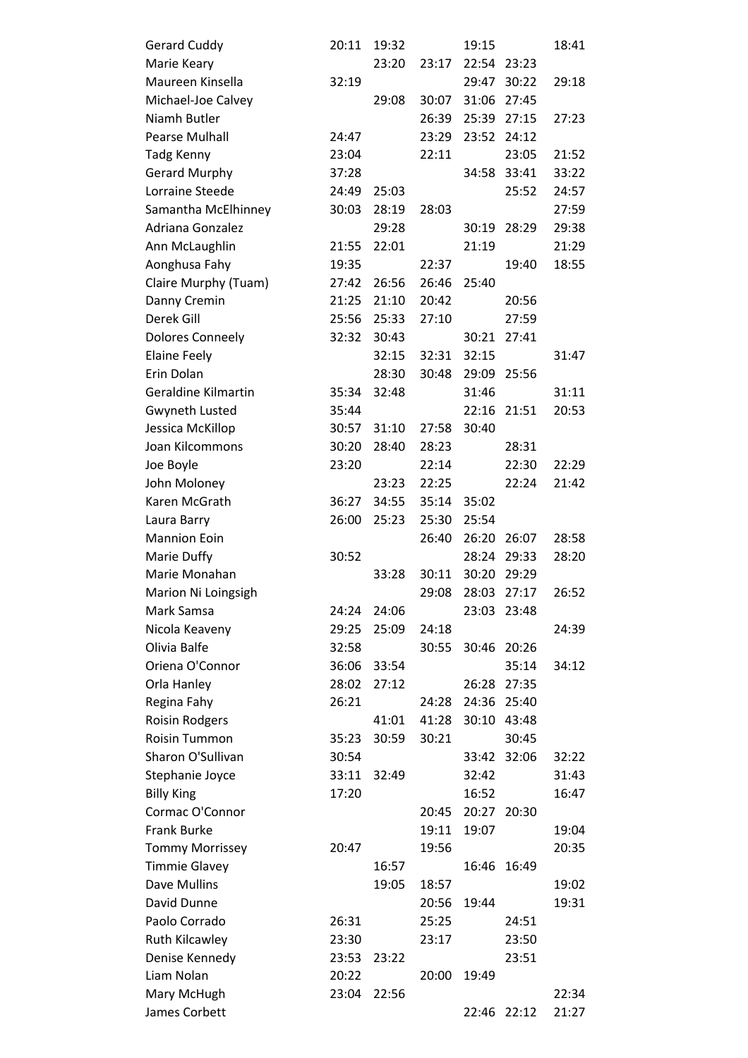| <b>Gerard Cuddy</b>        | 20:11 | 19:32 |       | 19:15       |       | 18:41 |
|----------------------------|-------|-------|-------|-------------|-------|-------|
| Marie Keary                |       | 23:20 | 23:17 | 22:54 23:23 |       |       |
| Maureen Kinsella           | 32:19 |       |       | 29:47       | 30:22 | 29:18 |
| Michael-Joe Calvey         |       | 29:08 | 30:07 | 31:06       | 27:45 |       |
| Niamh Butler               |       |       | 26:39 | 25:39       | 27:15 | 27:23 |
| Pearse Mulhall             | 24:47 |       | 23:29 | 23:52       | 24:12 |       |
| Tadg Kenny                 | 23:04 |       | 22:11 |             | 23:05 | 21:52 |
| <b>Gerard Murphy</b>       | 37:28 |       |       | 34:58       | 33:41 | 33:22 |
| Lorraine Steede            | 24:49 | 25:03 |       |             | 25:52 | 24:57 |
| Samantha McElhinney        | 30:03 | 28:19 | 28:03 |             |       | 27:59 |
| Adriana Gonzalez           |       | 29:28 |       | 30:19       | 28:29 | 29:38 |
| Ann McLaughlin             | 21:55 | 22:01 |       | 21:19       |       | 21:29 |
| Aonghusa Fahy              | 19:35 |       | 22:37 |             | 19:40 | 18:55 |
| Claire Murphy (Tuam)       | 27:42 | 26:56 | 26:46 | 25:40       |       |       |
| Danny Cremin               | 21:25 | 21:10 | 20:42 |             | 20:56 |       |
| Derek Gill                 | 25:56 | 25:33 | 27:10 |             | 27:59 |       |
| Dolores Conneely           | 32:32 | 30:43 |       | 30:21       | 27:41 |       |
| <b>Elaine Feely</b>        |       | 32:15 | 32:31 | 32:15       |       | 31:47 |
| Erin Dolan                 |       | 28:30 | 30:48 | 29:09       | 25:56 |       |
| <b>Geraldine Kilmartin</b> | 35:34 | 32:48 |       | 31:46       |       | 31:11 |
| <b>Gwyneth Lusted</b>      | 35:44 |       |       | 22:16       | 21:51 | 20:53 |
| Jessica McKillop           | 30:57 | 31:10 | 27:58 | 30:40       |       |       |
| Joan Kilcommons            | 30:20 | 28:40 | 28:23 |             | 28:31 |       |
| Joe Boyle                  | 23:20 |       | 22:14 |             | 22:30 | 22:29 |
| John Moloney               |       | 23:23 | 22:25 |             | 22:24 | 21:42 |
| Karen McGrath              | 36:27 | 34:55 | 35:14 | 35:02       |       |       |
| Laura Barry                | 26:00 | 25:23 | 25:30 | 25:54       |       |       |
| <b>Mannion Eoin</b>        |       |       | 26:40 | 26:20       | 26:07 | 28:58 |
| Marie Duffy                | 30:52 |       |       | 28:24       | 29:33 | 28:20 |
| Marie Monahan              |       | 33:28 | 30:11 | 30:20       | 29:29 |       |
| Marion Ni Loingsigh        |       |       | 29:08 | 28:03       | 27:17 | 26:52 |
| Mark Samsa                 | 24:24 | 24:06 |       | 23:03       | 23:48 |       |
| Nicola Keaveny             | 29:25 | 25:09 | 24:18 |             |       | 24:39 |
| Olivia Balfe               | 32:58 |       | 30:55 | 30:46 20:26 |       |       |
| Oriena O'Connor            | 36:06 | 33:54 |       |             | 35:14 | 34:12 |
| Orla Hanley                | 28:02 | 27:12 |       | 26:28       | 27:35 |       |
| Regina Fahy                | 26:21 |       | 24:28 | 24:36       | 25:40 |       |
| <b>Roisin Rodgers</b>      |       | 41:01 | 41:28 | 30:10 43:48 |       |       |
| <b>Roisin Tummon</b>       | 35:23 | 30:59 | 30:21 |             | 30:45 |       |
| Sharon O'Sullivan          | 30:54 |       |       | 33:42       | 32:06 | 32:22 |
| Stephanie Joyce            | 33:11 | 32:49 |       | 32:42       |       | 31:43 |
| <b>Billy King</b>          | 17:20 |       |       | 16:52       |       | 16:47 |
| Cormac O'Connor            |       |       | 20:45 | 20:27       | 20:30 |       |
| <b>Frank Burke</b>         |       |       | 19:11 | 19:07       |       | 19:04 |
| <b>Tommy Morrissey</b>     | 20:47 |       | 19:56 |             |       | 20:35 |
| <b>Timmie Glavey</b>       |       | 16:57 |       | 16:46       | 16:49 |       |
| Dave Mullins               |       | 19:05 | 18:57 |             |       | 19:02 |
| David Dunne                |       |       | 20:56 | 19:44       |       | 19:31 |
| Paolo Corrado              | 26:31 |       | 25:25 |             | 24:51 |       |
| <b>Ruth Kilcawley</b>      | 23:30 |       | 23:17 |             | 23:50 |       |
| Denise Kennedy             | 23:53 | 23:22 |       |             | 23:51 |       |
| Liam Nolan                 | 20:22 |       | 20:00 | 19:49       |       |       |
| Mary McHugh                | 23:04 | 22:56 |       |             |       | 22:34 |
| James Corbett              |       |       |       | 22:46       | 22:12 | 21:27 |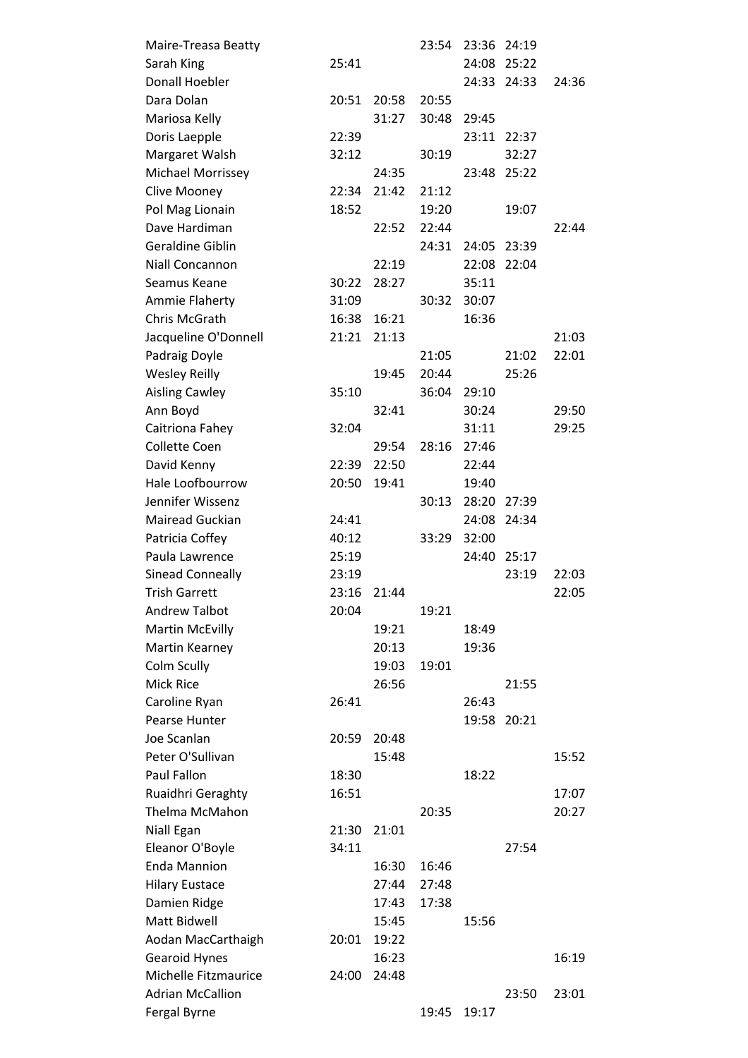| Maire-Treasa Beatty      |       |       | 23:54 | 23:36 | 24:19       |       |
|--------------------------|-------|-------|-------|-------|-------------|-------|
| Sarah King               | 25:41 |       |       |       | 24:08 25:22 |       |
| <b>Donall Hoebler</b>    |       |       |       |       | 24:33 24:33 | 24:36 |
| Dara Dolan               | 20:51 | 20:58 | 20:55 |       |             |       |
| Mariosa Kelly            |       | 31:27 | 30:48 | 29:45 |             |       |
| Doris Laepple            | 22:39 |       |       | 23:11 | 22:37       |       |
| Margaret Walsh           | 32:12 |       | 30:19 |       | 32:27       |       |
| <b>Michael Morrissey</b> |       | 24:35 |       | 23:48 | 25:22       |       |
| Clive Mooney             | 22:34 | 21:42 | 21:12 |       |             |       |
| Pol Mag Lionain          | 18:52 |       | 19:20 |       | 19:07       |       |
| Dave Hardiman            |       | 22:52 | 22:44 |       |             | 22:44 |
| Geraldine Giblin         |       |       | 24:31 |       | 24:05 23:39 |       |
| Niall Concannon          |       | 22:19 |       | 22:08 | 22:04       |       |
| Seamus Keane             | 30:22 | 28:27 |       | 35:11 |             |       |
| Ammie Flaherty           | 31:09 |       | 30:32 | 30:07 |             |       |
| Chris McGrath            | 16:38 | 16:21 |       | 16:36 |             |       |
| Jacqueline O'Donnell     | 21:21 | 21:13 |       |       |             | 21:03 |
| Padraig Doyle            |       |       | 21:05 |       | 21:02       | 22:01 |
| <b>Wesley Reilly</b>     |       | 19:45 | 20:44 |       | 25:26       |       |
| <b>Aisling Cawley</b>    | 35:10 |       | 36:04 | 29:10 |             |       |
| Ann Boyd                 |       | 32:41 |       | 30:24 |             | 29:50 |
| Caitriona Fahey          | 32:04 |       |       | 31:11 |             | 29:25 |
| <b>Collette Coen</b>     |       | 29:54 | 28:16 | 27:46 |             |       |
| David Kenny              | 22:39 | 22:50 |       | 22:44 |             |       |
| Hale Loofbourrow         | 20:50 | 19:41 |       | 19:40 |             |       |
| Jennifer Wissenz         |       |       | 30:13 | 28:20 | 27:39       |       |
| Mairead Guckian          | 24:41 |       |       | 24:08 | 24:34       |       |
| Patricia Coffey          | 40:12 |       | 33:29 | 32:00 |             |       |
| Paula Lawrence           | 25:19 |       |       | 24:40 | 25:17       |       |
| <b>Sinead Conneally</b>  | 23:19 |       |       |       | 23:19       | 22:03 |
| <b>Trish Garrett</b>     | 23:16 | 21:44 |       |       |             | 22:05 |
| <b>Andrew Talbot</b>     | 20:04 |       | 19:21 |       |             |       |
| <b>Martin McEvilly</b>   |       | 19:21 |       | 18:49 |             |       |
| Martin Kearney           |       | 20:13 |       | 19:36 |             |       |
| Colm Scully              |       | 19:03 | 19:01 |       |             |       |
| <b>Mick Rice</b>         |       | 26:56 |       |       | 21:55       |       |
| Caroline Ryan            | 26:41 |       |       | 26:43 |             |       |
| Pearse Hunter            |       |       |       |       | 19:58 20:21 |       |
| Joe Scanlan              | 20:59 | 20:48 |       |       |             |       |
| Peter O'Sullivan         |       | 15:48 |       |       |             | 15:52 |
| Paul Fallon              | 18:30 |       |       | 18:22 |             |       |
| Ruaidhri Geraghty        | 16:51 |       |       |       |             | 17:07 |
| Thelma McMahon           |       |       | 20:35 |       |             | 20:27 |
| Niall Egan               | 21:30 | 21:01 |       |       |             |       |
| Eleanor O'Boyle          | 34:11 |       |       |       | 27:54       |       |
| <b>Enda Mannion</b>      |       | 16:30 | 16:46 |       |             |       |
| <b>Hilary Eustace</b>    |       | 27:44 | 27:48 |       |             |       |
| Damien Ridge             |       | 17:43 | 17:38 |       |             |       |
| Matt Bidwell             |       | 15:45 |       | 15:56 |             |       |
| Aodan MacCarthaigh       | 20:01 | 19:22 |       |       |             |       |
| Gearoid Hynes            |       | 16:23 |       |       |             | 16:19 |
| Michelle Fitzmaurice     | 24:00 | 24:48 |       |       |             |       |
| <b>Adrian McCallion</b>  |       |       |       |       | 23:50       | 23:01 |
| Fergal Byrne             |       |       | 19:45 | 19:17 |             |       |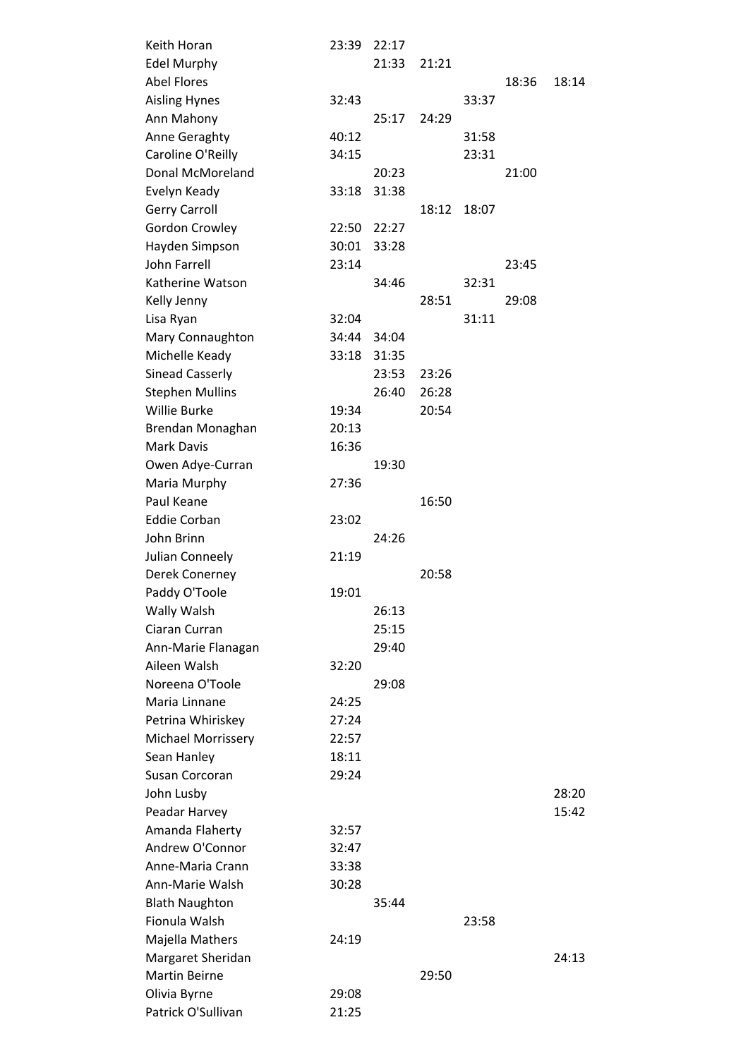| Keith Horan               | 23:39 | 22:17 |       |       |       |       |
|---------------------------|-------|-------|-------|-------|-------|-------|
| <b>Edel Murphy</b>        |       | 21:33 | 21:21 |       |       |       |
| <b>Abel Flores</b>        |       |       |       |       | 18:36 | 18:14 |
| <b>Aisling Hynes</b>      | 32:43 |       |       | 33:37 |       |       |
| Ann Mahony                |       | 25:17 | 24:29 |       |       |       |
| Anne Geraghty             | 40:12 |       |       | 31:58 |       |       |
| Caroline O'Reilly         | 34:15 |       |       | 23:31 |       |       |
| Donal McMoreland          |       | 20:23 |       |       | 21:00 |       |
| Evelyn Keady              | 33:18 | 31:38 |       |       |       |       |
| <b>Gerry Carroll</b>      |       |       | 18:12 | 18:07 |       |       |
| Gordon Crowley            | 22:50 | 22:27 |       |       |       |       |
| Hayden Simpson            | 30:01 | 33:28 |       |       |       |       |
| <b>John Farrell</b>       | 23:14 |       |       |       | 23:45 |       |
| Katherine Watson          |       | 34:46 |       | 32:31 |       |       |
| Kelly Jenny               |       |       | 28:51 |       | 29:08 |       |
| Lisa Ryan                 | 32:04 |       |       | 31:11 |       |       |
| Mary Connaughton          | 34:44 | 34:04 |       |       |       |       |
| Michelle Keady            | 33:18 | 31:35 |       |       |       |       |
| <b>Sinead Casserly</b>    |       | 23:53 | 23:26 |       |       |       |
| <b>Stephen Mullins</b>    |       | 26:40 | 26:28 |       |       |       |
| <b>Willie Burke</b>       | 19:34 |       | 20:54 |       |       |       |
| Brendan Monaghan          | 20:13 |       |       |       |       |       |
| <b>Mark Davis</b>         | 16:36 |       |       |       |       |       |
| Owen Adye-Curran          |       | 19:30 |       |       |       |       |
| Maria Murphy              | 27:36 |       |       |       |       |       |
| Paul Keane                |       |       | 16:50 |       |       |       |
| <b>Eddie Corban</b>       | 23:02 |       |       |       |       |       |
| John Brinn                |       | 24:26 |       |       |       |       |
| Julian Conneely           | 21:19 |       |       |       |       |       |
| Derek Conerney            |       |       | 20:58 |       |       |       |
| Paddy O'Toole             | 19:01 |       |       |       |       |       |
| Wally Walsh               |       | 26:13 |       |       |       |       |
| Ciaran Curran             |       | 25:15 |       |       |       |       |
| Ann-Marie Flanagan        |       | 29:40 |       |       |       |       |
| Aileen Walsh              | 32:20 |       |       |       |       |       |
| Noreena O'Toole           |       | 29:08 |       |       |       |       |
| Maria Linnane             | 24:25 |       |       |       |       |       |
| Petrina Whiriskey         | 27:24 |       |       |       |       |       |
| <b>Michael Morrissery</b> | 22:57 |       |       |       |       |       |
| Sean Hanley               | 18:11 |       |       |       |       |       |
| Susan Corcoran            | 29:24 |       |       |       |       |       |
| John Lusby                |       |       |       |       |       | 28:20 |
| Peadar Harvey             |       |       |       |       |       | 15:42 |
| Amanda Flaherty           | 32:57 |       |       |       |       |       |
| Andrew O'Connor           | 32:47 |       |       |       |       |       |
| Anne-Maria Crann          | 33:38 |       |       |       |       |       |
| Ann-Marie Walsh           | 30:28 |       |       |       |       |       |
| <b>Blath Naughton</b>     |       | 35:44 |       |       |       |       |
| Fionula Walsh             |       |       |       | 23:58 |       |       |
| Majella Mathers           | 24:19 |       |       |       |       |       |
| Margaret Sheridan         |       |       |       |       |       | 24:13 |
| <b>Martin Beirne</b>      |       |       | 29:50 |       |       |       |
| Olivia Byrne              | 29:08 |       |       |       |       |       |
| Patrick O'Sullivan        | 21:25 |       |       |       |       |       |
|                           |       |       |       |       |       |       |